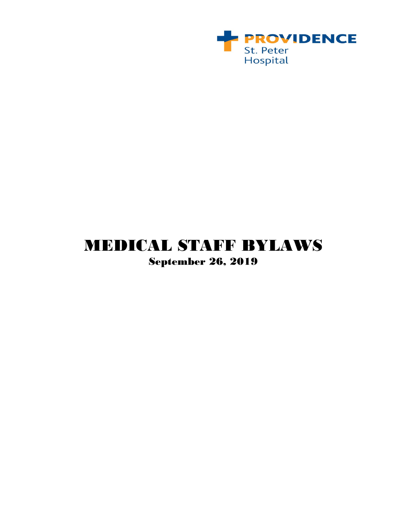

# MEDICAL STAFF BYLAWS September 26, 2019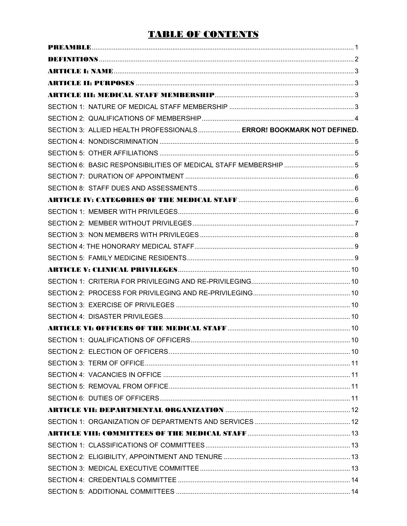# **TABLE OF CONTENTS**

| SECTION 3: ALLIED HEALTH PROFESSIONALS ERROR! BOOKMARK NOT DEFINED. |  |
|---------------------------------------------------------------------|--|
|                                                                     |  |
|                                                                     |  |
|                                                                     |  |
|                                                                     |  |
|                                                                     |  |
|                                                                     |  |
|                                                                     |  |
|                                                                     |  |
|                                                                     |  |
|                                                                     |  |
|                                                                     |  |
|                                                                     |  |
|                                                                     |  |
|                                                                     |  |
|                                                                     |  |
|                                                                     |  |
|                                                                     |  |
| SECTION 1: OUALIFICATIONS OF OFFICERS<br>$\sim$ 10                  |  |
|                                                                     |  |
|                                                                     |  |
|                                                                     |  |
|                                                                     |  |
|                                                                     |  |
|                                                                     |  |
|                                                                     |  |
|                                                                     |  |
|                                                                     |  |
|                                                                     |  |
|                                                                     |  |
|                                                                     |  |
|                                                                     |  |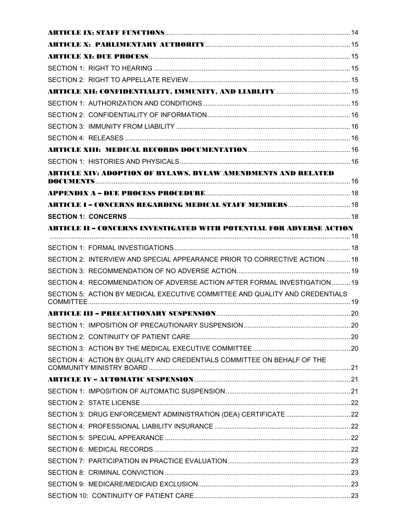| ARTICLE XIV: ADOPTION OF BYLAWS, BYLAW AMENDMENTS AND RELATED                |  |
|------------------------------------------------------------------------------|--|
|                                                                              |  |
|                                                                              |  |
|                                                                              |  |
| ARTICLE II - CONCERNS INVESTIGATED WITH POTENTIAL FOR ADVERSE ACTION         |  |
|                                                                              |  |
|                                                                              |  |
| SECTION 2: INTERVIEW AND SPECIAL APPEARANCE PRIOR TO CORRECTIVE ACTION  18   |  |
|                                                                              |  |
| SECTION 4: RECOMMENDATION OF ADVERSE ACTION AFTER FORMAL INVESTIGATION  19   |  |
| SECTION 5: ACTION BY MEDICAL EXECUTIVE COMMITTEE AND QUALITY AND CREDENTIALS |  |
|                                                                              |  |
|                                                                              |  |
|                                                                              |  |
|                                                                              |  |
| SECTION 4: ACTION BY QUALITY AND CREDENTIALS COMMITTEE ON BEHALF OF THE      |  |
|                                                                              |  |
|                                                                              |  |
|                                                                              |  |
|                                                                              |  |
|                                                                              |  |
|                                                                              |  |
|                                                                              |  |
|                                                                              |  |
|                                                                              |  |
|                                                                              |  |
|                                                                              |  |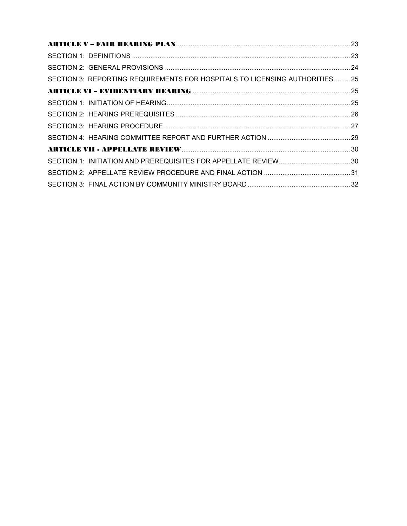| SECTION 3: REPORTING REQUIREMENTS FOR HOSPITALS TO LICENSING AUTHORITIES25 |  |
|----------------------------------------------------------------------------|--|
|                                                                            |  |
|                                                                            |  |
|                                                                            |  |
|                                                                            |  |
|                                                                            |  |
|                                                                            |  |
|                                                                            |  |
|                                                                            |  |
|                                                                            |  |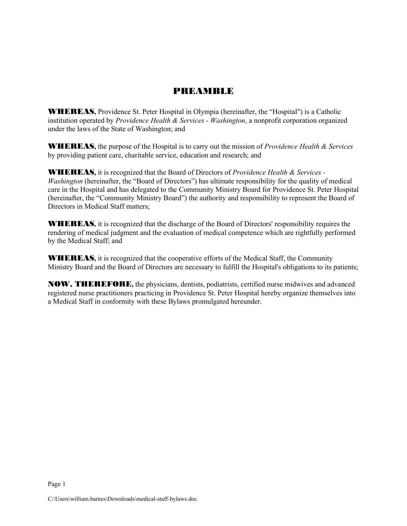### PREAMBLE

<span id="page-4-0"></span>WHEREAS**,** Providence St. Peter Hospital in Olympia (hereinafter, the "Hospital") is a Catholic institution operated by *Providence Health & Services - Washington*, a nonprofit corporation organized under the laws of the State of Washington; and

WHEREAS**,** the purpose of the Hospital is to carry out the mission of *Providence Health & Services* by providing patient care, charitable service, education and research; and

WHEREAS**,** it is recognized that the Board of Directors of *Providence Health & Services - Washington* (hereinafter, the "Board of Directors") has ultimate responsibility for the quality of medical care in the Hospital and has delegated to the Community Ministry Board for Providence St. Peter Hospital (hereinafter, the "Community Ministry Board") the authority and responsibility to represent the Board of Directors in Medical Staff matters;

WHEREAS**,** it is recognized that the discharge of the Board of Directors' responsibility requires the rendering of medical judgment and the evaluation of medical competence which are rightfully performed by the Medical Staff; and

WHEREAS**,** it is recognized that the cooperative efforts of the Medical Staff, the Community Ministry Board and the Board of Directors are necessary to fulfill the Hospital's obligations to its patients;

NOW, THEREFORE**,** the physicians, dentists, podiatrists, certified nurse midwives and advanced registered nurse practitioners practicing in Providence St. Peter Hospital hereby organize themselves into a Medical Staff in conformity with these Bylaws promulgated hereunder.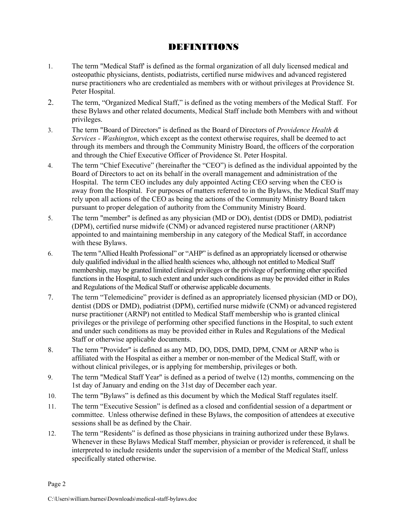# DEFINITIONS

- <span id="page-5-0"></span>1. The term "Medical Staff' is defined as the formal organization of all duly licensed medical and osteopathic physicians, dentists, podiatrists, certified nurse midwives and advanced registered nurse practitioners who are credentialed as members with or without privileges at Providence St. Peter Hospital.
- 2. The term, "Organized Medical Staff," is defined as the voting members of the Medical Staff. For these Bylaws and other related documents, Medical Staff include both Members with and without privileges.
- 3. The term "Board of Directors" is defined as the Board of Directors of *Providence Health & Services - Washington*, which except as the context otherwise requires, shall be deemed to act through its members and through the Community Ministry Board, the officers of the corporation and through the Chief Executive Officer of Providence St. Peter Hospital.
- 4. The term "Chief Executive" (hereinafter the "CEO") is defined as the individual appointed by the Board of Directors to act on its behalf in the overall management and administration of the Hospital. The term CEO includes any duly appointed Acting CEO serving when the CEO is away from the Hospital. For purposes of matters referred to in the Bylaws, the Medical Staff may rely upon all actions of the CEO as being the actions of the Community Ministry Board taken pursuant to proper delegation of authority from the Community Ministry Board.
- 5. The term "member" is defined as any physician (MD or DO), dentist (DDS or DMD), podiatrist (DPM), certified nurse midwife (CNM) or advanced registered nurse practitioner (ARNP) appointed to and maintaining membership in any category of the Medical Staff, in accordance with these Bylaws.
- 6. The term "Allied Health Professional" or "AHP" is defined as an appropriately licensed or otherwise duly qualified individual in the allied health sciences who, although not entitled to Medical Staff membership, may be granted limited clinical privileges or the privilege of performing other specified functions in the Hospital, to such extent and under such conditions as may be provided either in Rules and Regulations of the Medical Staff or otherwise applicable documents.
- 7. The term "Telemedicine" provider is defined as an appropriately licensed physician (MD or DO), dentist (DDS or DMD), podiatrist (DPM), certified nurse midwife (CNM) or advanced registered nurse practitioner (ARNP) not entitled to Medical Staff membership who is granted clinical privileges or the privilege of performing other specified functions in the Hospital, to such extent and under such conditions as may be provided either in Rules and Regulations of the Medical Staff or otherwise applicable documents.
- 8. The term "Provider" is defined as any MD, DO, DDS, DMD, DPM, CNM or ARNP who is affiliated with the Hospital as either a member or non-member of the Medical Staff, with or without clinical privileges, or is applying for membership, privileges or both.
- 9. The term "Medical Staff Year" is defined as a period of twelve (12) months, commencing on the 1st day of January and ending on the 31st day of December each year.
- 10. The term "Bylaws" is defined as this document by which the Medical Staff regulates itself.
- 11. The term "Executive Session" is defined as a closed and confidential session of a department or committee. Unless otherwise defined in these Bylaws, the composition of attendees at executive sessions shall be as defined by the Chair.
- 12. The term "Residents" is defined as those physicians in training authorized under these Bylaws. Whenever in these Bylaws Medical Staff member, physician or provider is referenced, it shall be interpreted to include residents under the supervision of a member of the Medical Staff, unless specifically stated otherwise.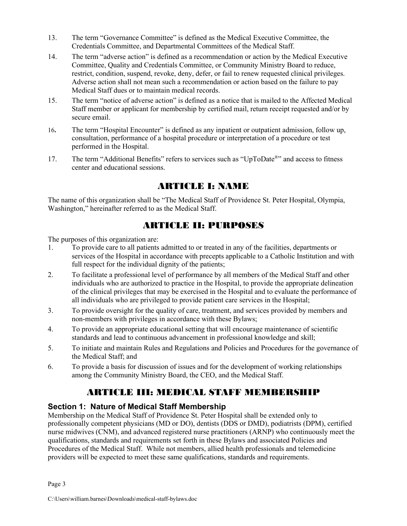- 13. The term "Governance Committee" is defined as the Medical Executive Committee, the Credentials Committee, and Departmental Committees of the Medical Staff.
- 14. The term "adverse action" is defined as a recommendation or action by the Medical Executive Committee, Quality and Credentials Committee, or Community Ministry Board to reduce, restrict, condition, suspend, revoke, deny, defer, or fail to renew requested clinical privileges. Adverse action shall not mean such a recommendation or action based on the failure to pay Medical Staff dues or to maintain medical records.
- 15. The term "notice of adverse action" is defined as a notice that is mailed to the Affected Medical Staff member or applicant for membership by certified mail, return receipt requested and/or by secure email.
- 16**.** The term "Hospital Encounter" is defined as any inpatient or outpatient admission, follow up, consultation, performance of a hospital procedure or interpretation of a procedure or test performed in the Hospital.
- 17. The term "Additional Benefits" refers to services such as "UpToDate®" and access to fitness center and educational sessions.

# ARTICLE I: NAME

<span id="page-6-0"></span>The name of this organization shall be "The Medical Staff of Providence St. Peter Hospital, Olympia, Washington," hereinafter referred to as the Medical Staff.

### ARTICLE II: PURPOSES

<span id="page-6-1"></span>The purposes of this organization are:

- 1. To provide care to all patients admitted to or treated in any of the facilities, departments or services of the Hospital in accordance with precepts applicable to a Catholic Institution and with full respect for the individual dignity of the patients;
- 2. To facilitate a professional level of performance by all members of the Medical Staff and other individuals who are authorized to practice in the Hospital, to provide the appropriate delineation of the clinical privileges that may be exercised in the Hospital and to evaluate the performance of all individuals who are privileged to provide patient care services in the Hospital;
- 3. To provide oversight for the quality of care, treatment, and services provided by members and non-members with privileges in accordance with these Bylaws;
- 4. To provide an appropriate educational setting that will encourage maintenance of scientific standards and lead to continuous advancement in professional knowledge and skill;
- 5. To initiate and maintain Rules and Regulations and Policies and Procedures for the governance of the Medical Staff; and
- 6. To provide a basis for discussion of issues and for the development of working relationships among the Community Ministry Board, the CEO, and the Medical Staff.

# ARTICLE III: MEDICAL STAFF MEMBERSHIP

#### <span id="page-6-3"></span><span id="page-6-2"></span>**Section 1: Nature of Medical Staff Membership**

Membership on the Medical Staff of Providence St. Peter Hospital shall be extended only to professionally competent physicians (MD or DO), dentists (DDS or DMD), podiatrists (DPM), certified nurse midwives (CNM), and advanced registered nurse practitioners (ARNP) who continuously meet the qualifications, standards and requirements set forth in these Bylaws and associated Policies and Procedures of the Medical Staff. While not members, allied health professionals and telemedicine providers will be expected to meet these same qualifications, standards and requirements.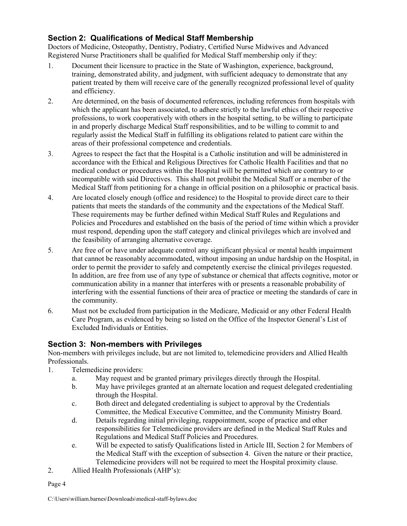### <span id="page-7-0"></span>**Section 2: Qualifications of Medical Staff Membership**

Doctors of Medicine, Osteopathy, Dentistry, Podiatry, Certified Nurse Midwives and Advanced Registered Nurse Practitioners shall be qualified for Medical Staff membership only if they:

- 1. Document their licensure to practice in the State of Washington, experience, background, training, demonstrated ability, and judgment, with sufficient adequacy to demonstrate that any patient treated by them will receive care of the generally recognized professional level of quality and efficiency.
- 2. Are determined, on the basis of documented references, including references from hospitals with which the applicant has been associated, to adhere strictly to the lawful ethics of their respective professions, to work cooperatively with others in the hospital setting, to be willing to participate in and properly discharge Medical Staff responsibilities, and to be willing to commit to and regularly assist the Medical Staff in fulfilling its obligations related to patient care within the areas of their professional competence and credentials.
- 3. Agrees to respect the fact that the Hospital is a Catholic institution and will be administered in accordance with the Ethical and Religious Directives for Catholic Health Facilities and that no medical conduct or procedures within the Hospital will be permitted which are contrary to or incompatible with said Directives. This shall not prohibit the Medical Staff or a member of the Medical Staff from petitioning for a change in official position on a philosophic or practical basis.
- 4. Are located closely enough (office and residence) to the Hospital to provide direct care to their patients that meets the standards of the community and the expectations of the Medical Staff. These requirements may be further defined within Medical Staff Rules and Regulations and Policies and Procedures and established on the basis of the period of time within which a provider must respond, depending upon the staff category and clinical privileges which are involved and the feasibility of arranging alternative coverage.
- 5. Are free of or have under adequate control any significant physical or mental health impairment that cannot be reasonably accommodated, without imposing an undue hardship on the Hospital, in order to permit the provider to safely and competently exercise the clinical privileges requested. In addition, are free from use of any type of substance or chemical that affects cognitive, motor or communication ability in a manner that interferes with or presents a reasonable probability of interfering with the essential functions of their area of practice or meeting the standards of care in the community.
- 6. Must not be excluded from participation in the Medicare, Medicaid or any other Federal Health Care Program, as evidenced by being so listed on the Office of the Inspector General's List of Excluded Individuals or Entities.

### **Section 3: Non-members with Privileges**

Non-members with privileges include, but are not limited to, telemedicine providers and Allied Health Professionals.

- 1. Telemedicine providers:
	- a. May request and be granted primary privileges directly through the Hospital.
	- b. May have privileges granted at an alternate location and request delegated credentialing through the Hospital.
	- c. Both direct and delegated credentialing is subject to approval by the Credentials Committee, the Medical Executive Committee, and the Community Ministry Board.
	- d. Details regarding initial privileging, reappointment, scope of practice and other responsibilities for Telemedicine providers are defined in the Medical Staff Rules and Regulations and Medical Staff Policies and Procedures.
	- e. Will be expected to satisfy Qualifications listed in Article III, Section 2 for Members of the Medical Staff with the exception of subsection 4. Given the nature or their practice, Telemedicine providers will not be required to meet the Hospital proximity clause.
- 2. Allied Health Professionals (AHP's):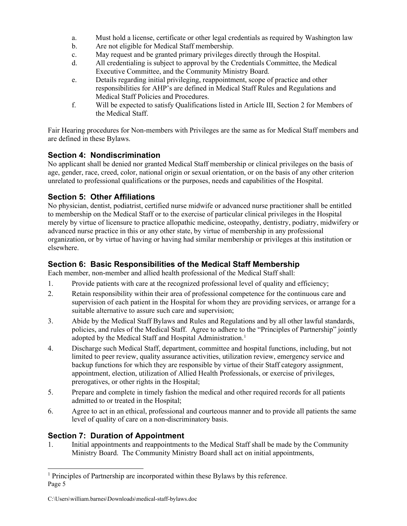- a. Must hold a license, certificate or other legal credentials as required by Washington law
- b. Are not eligible for Medical Staff membership.
- c. May request and be granted primary privileges directly through the Hospital.
- d. All credentialing is subject to approval by the Credentials Committee, the Medical Executive Committee, and the Community Ministry Board.
- e. Details regarding initial privileging, reappointment, scope of practice and other responsibilities for AHP's are defined in Medical Staff Rules and Regulations and Medical Staff Policies and Procedures.
- f. Will be expected to satisfy Qualifications listed in Article III, Section 2 for Members of the Medical Staff.

Fair Hearing procedures for Non-members with Privileges are the same as for Medical Staff members and are defined in these Bylaws.

#### <span id="page-8-0"></span>**Section 4: Nondiscrimination**

No applicant shall be denied nor granted Medical Staff membership or clinical privileges on the basis of age, gender, race, creed, color, national origin or sexual orientation, or on the basis of any other criterion unrelated to professional qualifications or the purposes, needs and capabilities of the Hospital.

#### <span id="page-8-1"></span>**Section 5: Other Affiliations**

No physician, dentist, podiatrist, certified nurse midwife or advanced nurse practitioner shall be entitled to membership on the Medical Staff or to the exercise of particular clinical privileges in the Hospital merely by virtue of licensure to practice allopathic medicine, osteopathy, dentistry, podiatry, midwifery or advanced nurse practice in this or any other state, by virtue of membership in any professional organization, or by virtue of having or having had similar membership or privileges at this institution or elsewhere.

#### <span id="page-8-2"></span>**Section 6: Basic Responsibilities of the Medical Staff Membership**

Each member, non-member and allied health professional of the Medical Staff shall:

- 1. Provide patients with care at the recognized professional level of quality and efficiency;
- 2. Retain responsibility within their area of professional competence for the continuous care and supervision of each patient in the Hospital for whom they are providing services, or arrange for a suitable alternative to assure such care and supervision;
- 3. Abide by the Medical Staff Bylaws and Rules and Regulations and by all other lawful standards, policies, and rules of the Medical Staff. Agree to adhere to the "Principles of Partnership" jointly adopted by the Medical Staff and Hospital Administration. [1](#page-8-4)
- 4. Discharge such Medical Staff, department, committee and hospital functions, including, but not limited to peer review, quality assurance activities, utilization review, emergency service and backup functions for which they are responsible by virtue of their Staff category assignment, appointment, election, utilization of Allied Health Professionals, or exercise of privileges, prerogatives, or other rights in the Hospital;
- 5. Prepare and complete in timely fashion the medical and other required records for all patients admitted to or treated in the Hospital;
- 6. Agree to act in an ethical, professional and courteous manner and to provide all patients the same level of quality of care on a non-discriminatory basis.

### <span id="page-8-3"></span>**Section 7: Duration of Appointment**

1. Initial appointments and reappointments to the Medical Staff shall be made by the Community Ministry Board. The Community Ministry Board shall act on initial appointments,

<span id="page-8-4"></span>Page 5 <sup>1</sup> Principles of Partnership are incorporated within these Bylaws by this reference.

C:\Users\william.barnes\Downloads\medical-staff-bylaws.doc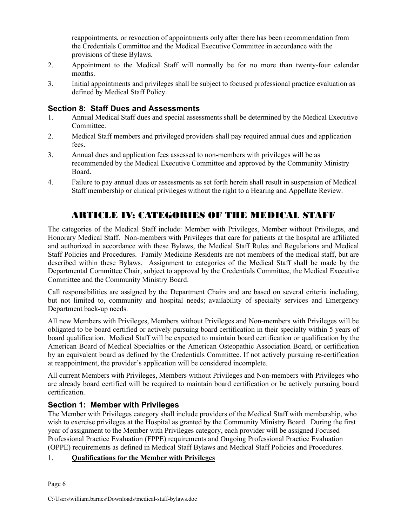reappointments, or revocation of appointments only after there has been recommendation from the Credentials Committee and the Medical Executive Committee in accordance with the provisions of these Bylaws.

- 2. Appointment to the Medical Staff will normally be for no more than twenty-four calendar months.
- 3. Initial appointments and privileges shall be subject to focused professional practice evaluation as defined by Medical Staff Policy.

#### <span id="page-9-0"></span>**Section 8: Staff Dues and Assessments**

- 1. Annual Medical Staff dues and special assessments shall be determined by the Medical Executive Committee.
- 2. Medical Staff members and privileged providers shall pay required annual dues and application fees.
- 3. Annual dues and application fees assessed to non-members with privileges will be as recommended by the Medical Executive Committee and approved by the Community Ministry Board.
- 4. Failure to pay annual dues or assessments as set forth herein shall result in suspension of Medical Staff membership or clinical privileges without the right to a Hearing and Appellate Review.

### ARTICLE IV: CATEGORIES OF THE MEDICAL STAFF

<span id="page-9-1"></span>The categories of the Medical Staff include: Member with Privileges, Member without Privileges, and Honorary Medical Staff. Non-members with Privileges that care for patients at the hospital are affiliated and authorized in accordance with these Bylaws, the Medical Staff Rules and Regulations and Medical Staff Policies and Procedures. Family Medicine Residents are not members of the medical staff, but are described within these Bylaws. Assignment to categories of the Medical Staff shall be made by the Departmental Committee Chair, subject to approval by the Credentials Committee, the Medical Executive Committee and the Community Ministry Board.

Call responsibilities are assigned by the Department Chairs and are based on several criteria including, but not limited to, community and hospital needs; availability of specialty services and Emergency Department back-up needs.

All new Members with Privileges, Members without Privileges and Non-members with Privileges will be obligated to be board certified or actively pursuing board certification in their specialty within 5 years of board qualification. Medical Staff will be expected to maintain board certification or qualification by the American Board of Medical Specialties or the American Osteopathic Association Board, or certification by an equivalent board as defined by the Credentials Committee. If not actively pursuing re-certification at reappointment, the provider's application will be considered incomplete.

All current Members with Privileges, Members without Privileges and Non-members with Privileges who are already board certified will be required to maintain board certification or be actively pursuing board certification.

#### <span id="page-9-2"></span>**Section 1: Member with Privileges**

The Member with Privileges category shall include providers of the Medical Staff with membership, who wish to exercise privileges at the Hospital as granted by the Community Ministry Board. During the first year of assignment to the Member with Privileges category, each provider will be assigned Focused Professional Practice Evaluation (FPPE) requirements and Ongoing Professional Practice Evaluation (OPPE) requirements as defined in Medical Staff Bylaws and Medical Staff Policies and Procedures.

#### 1. **Qualifications for the Member with Privileges**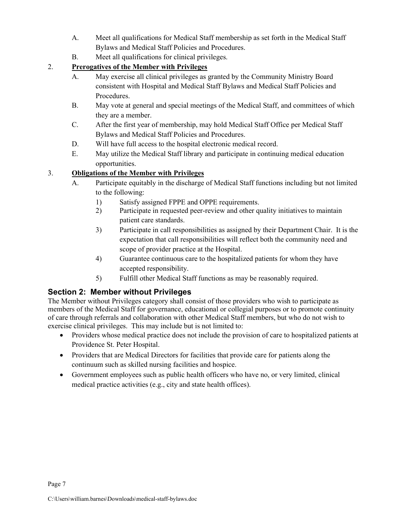- A. Meet all qualifications for Medical Staff membership as set forth in the Medical Staff Bylaws and Medical Staff Policies and Procedures.
- B. Meet all qualifications for clinical privileges.

### 2. **Prerogatives of the Member with Privileges**

- A. May exercise all clinical privileges as granted by the Community Ministry Board consistent with Hospital and Medical Staff Bylaws and Medical Staff Policies and Procedures.
- B. May vote at general and special meetings of the Medical Staff, and committees of which they are a member.
- C. After the first year of membership, may hold Medical Staff Office per Medical Staff Bylaws and Medical Staff Policies and Procedures.
- D. Will have full access to the hospital electronic medical record.
- E. May utilize the Medical Staff library and participate in continuing medical education opportunities.

### 3. **Obligations of the Member with Privileges**

- A. Participate equitably in the discharge of Medical Staff functions including but not limited to the following:
	- 1) Satisfy assigned FPPE and OPPE requirements.
	- 2) Participate in requested peer-review and other quality initiatives to maintain patient care standards.
	- 3) Participate in call responsibilities as assigned by their Department Chair. It is the expectation that call responsibilities will reflect both the community need and scope of provider practice at the Hospital.
	- 4) Guarantee continuous care to the hospitalized patients for whom they have accepted responsibility.
	- 5) Fulfill other Medical Staff functions as may be reasonably required.

### <span id="page-10-0"></span>**Section 2: Member without Privileges**

The Member without Privileges category shall consist of those providers who wish to participate as members of the Medical Staff for governance, educational or collegial purposes or to promote continuity of care through referrals and collaboration with other Medical Staff members, but who do not wish to exercise clinical privileges. This may include but is not limited to:

- Providers whose medical practice does not include the provision of care to hospitalized patients at Providence St. Peter Hospital.
- Providers that are Medical Directors for facilities that provide care for patients along the continuum such as skilled nursing facilities and hospice.
- Government employees such as public health officers who have no, or very limited, clinical medical practice activities (e.g., city and state health offices).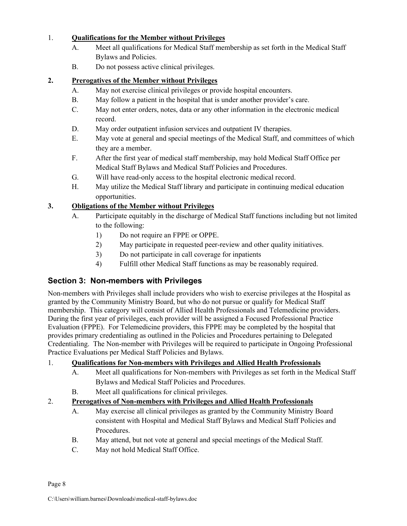#### 1. **Qualifications for the Member without Privileges**

- A. Meet all qualifications for Medical Staff membership as set forth in the Medical Staff Bylaws and Policies.
- B. Do not possess active clinical privileges.

#### **2. Prerogatives of the Member without Privileges**

- A. May not exercise clinical privileges or provide hospital encounters.
- B. May follow a patient in the hospital that is under another provider's care.
- C. May not enter orders, notes, data or any other information in the electronic medical record.
- D. May order outpatient infusion services and outpatient IV therapies.
- E. May vote at general and special meetings of the Medical Staff, and committees of which they are a member.
- F. After the first year of medical staff membership, may hold Medical Staff Office per Medical Staff Bylaws and Medical Staff Policies and Procedures.
- G. Will have read-only access to the hospital electronic medical record.
- H. May utilize the Medical Staff library and participate in continuing medical education opportunities.

#### **3. Obligations of the Member without Privileges**

- Participate equitably in the discharge of Medical Staff functions including but not limited to the following:
	- 1) Do not require an FPPE or OPPE.
	- 2) May participate in requested peer-review and other quality initiatives.
	- 3) Do not participate in call coverage for inpatients
	- 4) Fulfill other Medical Staff functions as may be reasonably required.

### <span id="page-11-0"></span>**Section 3: Non-members with Privileges**

Non-members with Privileges shall include providers who wish to exercise privileges at the Hospital as granted by the Community Ministry Board, but who do not pursue or qualify for Medical Staff membership. This category will consist of Allied Health Professionals and Telemedicine providers. During the first year of privileges, each provider will be assigned a Focused Professional Practice Evaluation (FPPE). For Telemedicine providers, this FPPE may be completed by the hospital that provides primary credentialing as outlined in the Policies and Procedures pertaining to Delegated Credentialing. The Non-member with Privileges will be required to participate in Ongoing Professional Practice Evaluations per Medical Staff Policies and Bylaws.

#### 1. **Qualifications for Non-members with Privileges and Allied Health Professionals**

- A. Meet all qualifications for Non-members with Privileges as set forth in the Medical Staff Bylaws and Medical Staff Policies and Procedures.
- B. Meet all qualifications for clinical privileges.

#### 2. **Prerogatives of Non-members with Privileges and Allied Health Professionals**

- A. May exercise all clinical privileges as granted by the Community Ministry Board consistent with Hospital and Medical Staff Bylaws and Medical Staff Policies and Procedures.
- B. May attend, but not vote at general and special meetings of the Medical Staff.
- C. May not hold Medical Staff Office.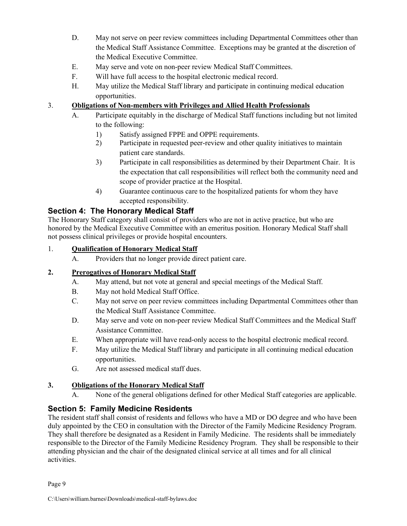- D. May not serve on peer review committees including Departmental Committees other than the Medical Staff Assistance Committee. Exceptions may be granted at the discretion of the Medical Executive Committee.
- E. May serve and vote on non-peer review Medical Staff Committees.
- F. Will have full access to the hospital electronic medical record.
- H. May utilize the Medical Staff library and participate in continuing medical education opportunities.

#### 3. **Obligations of Non-members with Privileges and Allied Health Professionals**

- A. Participate equitably in the discharge of Medical Staff functions including but not limited to the following:
	- 1) Satisfy assigned FPPE and OPPE requirements.
	- 2) Participate in requested peer-review and other quality initiatives to maintain patient care standards.
	- 3) Participate in call responsibilities as determined by their Department Chair. It is the expectation that call responsibilities will reflect both the community need and scope of provider practice at the Hospital.
	- 4) Guarantee continuous care to the hospitalized patients for whom they have accepted responsibility.

### **Section 4: The Honorary Medical Staff**

The Honorary Staff category shall consist of providers who are not in active practice, but who are honored by the Medical Executive Committee with an emeritus position. Honorary Medical Staff shall not possess clinical privileges or provide hospital encounters.

#### 1. **Qualification of Honorary Medical Staff**

A. Providers that no longer provide direct patient care.

#### **2. Prerogatives of Honorary Medical Staff**

- A. May attend, but not vote at general and special meetings of the Medical Staff.
- B. May not hold Medical Staff Office.
- C. May not serve on peer review committees including Departmental Committees other than the Medical Staff Assistance Committee.
- D. May serve and vote on non-peer review Medical Staff Committees and the Medical Staff Assistance Committee.
- E. When appropriate will have read-only access to the hospital electronic medical record.
- F. May utilize the Medical Staff library and participate in all continuing medical education opportunities.
- G. Are not assessed medical staff dues.

#### **3. Obligations of the Honorary Medical Staff**

A. None of the general obligations defined for other Medical Staff categories are applicable.

### <span id="page-12-0"></span>**Section 5: Family Medicine Residents**

The resident staff shall consist of residents and fellows who have a MD or DO degree and who have been duly appointed by the CEO in consultation with the Director of the Family Medicine Residency Program. They shall therefore be designated as a Resident in Family Medicine. The residents shall be immediately responsible to the Director of the Family Medicine Residency Program. They shall be responsible to their attending physician and the chair of the designated clinical service at all times and for all clinical activities.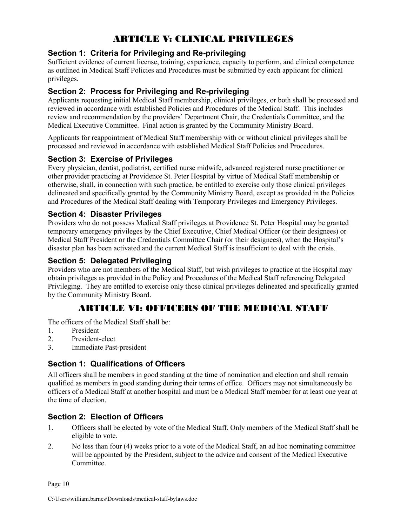# ARTICLE V: CLINICAL PRIVILEGES

#### <span id="page-13-1"></span><span id="page-13-0"></span>**Section 1: Criteria for Privileging and Re-privileging**

Sufficient evidence of current license, training, experience, capacity to perform, and clinical competence as outlined in Medical Staff Policies and Procedures must be submitted by each applicant for clinical privileges.

### <span id="page-13-2"></span>**Section 2: Process for Privileging and Re-privileging**

Applicants requesting initial Medical Staff membership, clinical privileges, or both shall be processed and reviewed in accordance with established Policies and Procedures of the Medical Staff. This includes review and recommendation by the providers' Department Chair, the Credentials Committee, and the Medical Executive Committee. Final action is granted by the Community Ministry Board.

Applicants for reappointment of Medical Staff membership with or without clinical privileges shall be processed and reviewed in accordance with established Medical Staff Policies and Procedures.

### <span id="page-13-3"></span>**Section 3: Exercise of Privileges**

Every physician, dentist, podiatrist, certified nurse midwife, advanced registered nurse practitioner or other provider practicing at Providence St. Peter Hospital by virtue of Medical Staff membership or otherwise, shall, in connection with such practice, be entitled to exercise only those clinical privileges delineated and specifically granted by the Community Ministry Board, except as provided in the Policies and Procedures of the Medical Staff dealing with Temporary Privileges and Emergency Privileges.

#### <span id="page-13-4"></span>**Section 4: Disaster Privileges**

Providers who do not possess Medical Staff privileges at Providence St. Peter Hospital may be granted temporary emergency privileges by the Chief Executive, Chief Medical Officer (or their designees) or Medical Staff President or the Credentials Committee Chair (or their designees), when the Hospital's disaster plan has been activated and the current Medical Staff is insufficient to deal with the crisis.

### **Section 5: Delegated Privileging**

Providers who are not members of the Medical Staff, but wish privileges to practice at the Hospital may obtain privileges as provided in the Policy and Procedures of the Medical Staff referencing Delegated Privileging. They are entitled to exercise only those clinical privileges delineated and specifically granted by the Community Ministry Board.

### ARTICLE VI: OFFICERS OF THE MEDICAL STAFF

<span id="page-13-5"></span>The officers of the Medical Staff shall be:

- 1. President
- 2. President-elect
- <span id="page-13-6"></span>3. Immediate Past-president

### **Section 1: Qualifications of Officers**

All officers shall be members in good standing at the time of nomination and election and shall remain qualified as members in good standing during their terms of office. Officers may not simultaneously be officers of a Medical Staff at another hospital and must be a Medical Staff member for at least one year at the time of election.

### <span id="page-13-7"></span>**Section 2: Election of Officers**

- 1. Officers shall be elected by vote of the Medical Staff. Only members of the Medical Staff shall be eligible to vote.
- 2. No less than four (4) weeks prior to a vote of the Medical Staff, an ad hoc nominating committee will be appointed by the President, subject to the advice and consent of the Medical Executive Committee.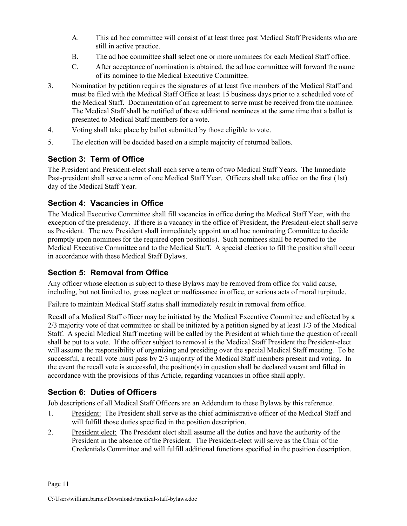- A. This ad hoc committee will consist of at least three past Medical Staff Presidents who are still in active practice.
- B. The ad hoc committee shall select one or more nominees for each Medical Staff office.
- C. After acceptance of nomination is obtained, the ad hoc committee will forward the name of its nominee to the Medical Executive Committee.
- 3. Nomination by petition requires the signatures of at least five members of the Medical Staff and must be filed with the Medical Staff Office at least 15 business days prior to a scheduled vote of the Medical Staff. Documentation of an agreement to serve must be received from the nominee. The Medical Staff shall be notified of these additional nominees at the same time that a ballot is presented to Medical Staff members for a vote.
- 4. Voting shall take place by ballot submitted by those eligible to vote.
- <span id="page-14-0"></span>5. The election will be decided based on a simple majority of returned ballots.

### **Section 3: Term of Office**

The President and President-elect shall each serve a term of two Medical Staff Years. The Immediate Past-president shall serve a term of one Medical Staff Year. Officers shall take office on the first (1st) day of the Medical Staff Year.

### <span id="page-14-1"></span>**Section 4: Vacancies in Office**

The Medical Executive Committee shall fill vacancies in office during the Medical Staff Year, with the exception of the presidency. If there is a vacancy in the office of President, the President-elect shall serve as President. The new President shall immediately appoint an ad hoc nominating Committee to decide promptly upon nominees for the required open position(s). Such nominees shall be reported to the Medical Executive Committee and to the Medical Staff. A special election to fill the position shall occur in accordance with these Medical Staff Bylaws.

### <span id="page-14-2"></span>**Section 5: Removal from Office**

Any officer whose election is subject to these Bylaws may be removed from office for valid cause, including, but not limited to, gross neglect or malfeasance in office, or serious acts of moral turpitude.

Failure to maintain Medical Staff status shall immediately result in removal from office.

Recall of a Medical Staff officer may be initiated by the Medical Executive Committee and effected by a 2/3 majority vote of that committee or shall be initiated by a petition signed by at least 1/3 of the Medical Staff. A special Medical Staff meeting will be called by the President at which time the question of recall shall be put to a vote. If the officer subject to removal is the Medical Staff President the President-elect will assume the responsibility of organizing and presiding over the special Medical Staff meeting. To be successful, a recall vote must pass by 2/3 majority of the Medical Staff members present and voting. In the event the recall vote is successful, the position(s) in question shall be declared vacant and filled in accordance with the provisions of this Article, regarding vacancies in office shall apply.

### <span id="page-14-3"></span>**Section 6: Duties of Officers**

Job descriptions of all Medical Staff Officers are an Addendum to these Bylaws by this reference.

- 1. President: The President shall serve as the chief administrative officer of the Medical Staff and will fulfill those duties specified in the position description.
- 2. President elect: The President elect shall assume all the duties and have the authority of the President in the absence of the President. The President-elect will serve as the Chair of the Credentials Committee and will fulfill additional functions specified in the position description.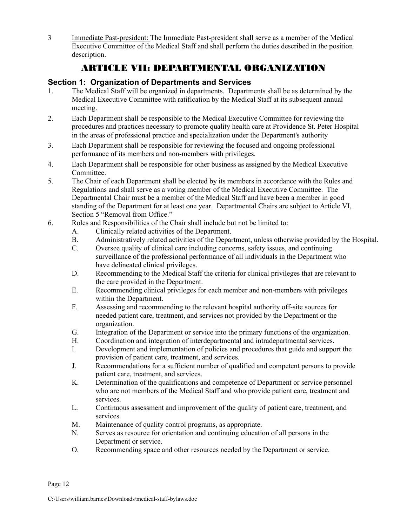3 Immediate Past-president: The Immediate Past-president shall serve as a member of the Medical Executive Committee of the Medical Staff and shall perform the duties described in the position description.

# ARTICLE VII: DEPARTMENTAL ORGANIZATION

### <span id="page-15-1"></span><span id="page-15-0"></span>**Section 1: Organization of Departments and Services**

- 1. The Medical Staff will be organized in departments. Departments shall be as determined by the Medical Executive Committee with ratification by the Medical Staff at its subsequent annual meeting.
- 2. Each Department shall be responsible to the Medical Executive Committee for reviewing the procedures and practices necessary to promote quality health care at Providence St. Peter Hospital in the areas of professional practice and specialization under the Department's authority
- 3. Each Department shall be responsible for reviewing the focused and ongoing professional performance of its members and non-members with privileges.
- 4. Each Department shall be responsible for other business as assigned by the Medical Executive Committee.
- 5. The Chair of each Department shall be elected by its members in accordance with the Rules and Regulations and shall serve as a voting member of the Medical Executive Committee. The Departmental Chair must be a member of the Medical Staff and have been a member in good standing of the Department for at least one year. Departmental Chairs are subject to Article VI, Section 5 "Removal from Office."
- 6. Roles and Responsibilities of the Chair shall include but not be limited to:
	- A. Clinically related activities of the Department.
	- B. Administratively related activities of the Department, unless otherwise provided by the Hospital.
	- C. Oversee quality of clinical care including concerns, safety issues, and continuing surveillance of the professional performance of all individuals in the Department who have delineated clinical privileges.
	- D. Recommending to the Medical Staff the criteria for clinical privileges that are relevant to the care provided in the Department.
	- E. Recommending clinical privileges for each member and non-members with privileges within the Department.
	- F. Assessing and recommending to the relevant hospital authority off-site sources for needed patient care, treatment, and services not provided by the Department or the organization.
	- G. Integration of the Department or service into the primary functions of the organization.
	- H. Coordination and integration of interdepartmental and intradepartmental services.
	- I. Development and implementation of policies and procedures that guide and support the provision of patient care, treatment, and services.
	- J. Recommendations for a sufficient number of qualified and competent persons to provide patient care, treatment, and services.
	- K. Determination of the qualifications and competence of Department or service personnel who are not members of the Medical Staff and who provide patient care, treatment and services.
	- L. Continuous assessment and improvement of the quality of patient care, treatment, and services.
	- M. Maintenance of quality control programs, as appropriate.
	- N. Serves as resource for orientation and continuing education of all persons in the Department or service.
	- O. Recommending space and other resources needed by the Department or service.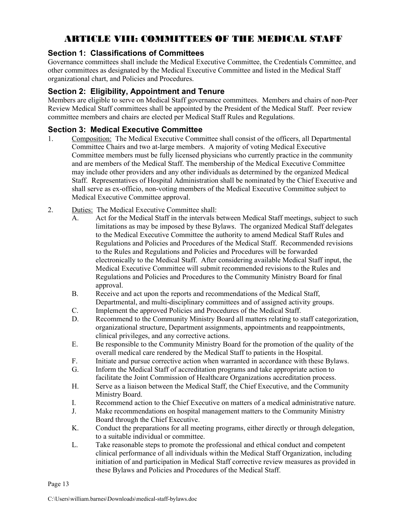# ARTICLE VIII: COMMITTEES OF THE MEDICAL STAFF

### <span id="page-16-1"></span><span id="page-16-0"></span>**Section 1: Classifications of Committees**

Governance committees shall include the Medical Executive Committee, the Credentials Committee, and other committees as designated by the Medical Executive Committee and listed in the Medical Staff organizational chart, and Policies and Procedures.

### <span id="page-16-2"></span>**Section 2: Eligibility, Appointment and Tenure**

Members are eligible to serve on Medical Staff governance committees. Members and chairs of non-Peer Review Medical Staff committees shall be appointed by the President of the Medical Staff. Peer review committee members and chairs are elected per Medical Staff Rules and Regulations.

#### <span id="page-16-3"></span>**Section 3: Medical Executive Committee**

- 1. Composition: The Medical Executive Committee shall consist of the officers, all Departmental Committee Chairs and two at-large members. A majority of voting Medical Executive Committee members must be fully licensed physicians who currently practice in the community and are members of the Medical Staff. The membership of the Medical Executive Committee may include other providers and any other individuals as determined by the organized Medical Staff. Representatives of Hospital Administration shall be nominated by the Chief Executive and shall serve as ex-officio, non-voting members of the Medical Executive Committee subject to Medical Executive Committee approval.
- 2. Duties: The Medical Executive Committee shall:
	- A. Act for the Medical Staff in the intervals between Medical Staff meetings, subject to such limitations as may be imposed by these Bylaws. The organized Medical Staff delegates to the Medical Executive Committee the authority to amend Medical Staff Rules and Regulations and Policies and Procedures of the Medical Staff. Recommended revisions to the Rules and Regulations and Policies and Procedures will be forwarded electronically to the Medical Staff. After considering available Medical Staff input, the Medical Executive Committee will submit recommended revisions to the Rules and Regulations and Policies and Procedures to the Community Ministry Board for final approval.
	- B. Receive and act upon the reports and recommendations of the Medical Staff,
	- Departmental, and multi-disciplinary committees and of assigned activity groups.
	- C. Implement the approved Policies and Procedures of the Medical Staff.
	- D. Recommend to the Community Ministry Board all matters relating to staff categorization, organizational structure, Department assignments, appointments and reappointments, clinical privileges, and any corrective actions.
	- E. Be responsible to the Community Ministry Board for the promotion of the quality of the overall medical care rendered by the Medical Staff to patients in the Hospital.
	- F. Initiate and pursue corrective action when warranted in accordance with these Bylaws.
	- G. Inform the Medical Staff of accreditation programs and take appropriate action to facilitate the Joint Commission of Healthcare Organizations accreditation process.
	- H. Serve as a liaison between the Medical Staff, the Chief Executive, and the Community Ministry Board.
	- I. Recommend action to the Chief Executive on matters of a medical administrative nature.
	- J. Make recommendations on hospital management matters to the Community Ministry Board through the Chief Executive.
	- K. Conduct the preparations for all meeting programs, either directly or through delegation, to a suitable individual or committee.
	- L. Take reasonable steps to promote the professional and ethical conduct and competent clinical performance of all individuals within the Medical Staff Organization, including initiation of and participation in Medical Staff corrective review measures as provided in these Bylaws and Policies and Procedures of the Medical Staff.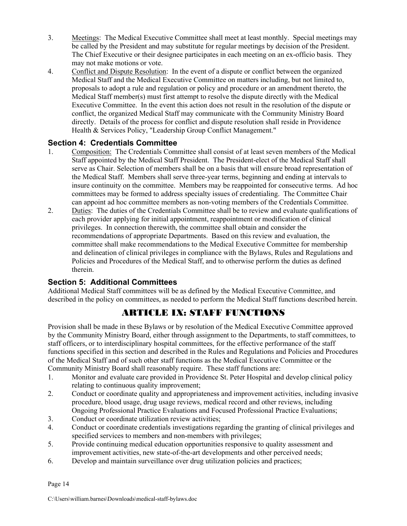- 3. Meetings: The Medical Executive Committee shall meet at least monthly. Special meetings may be called by the President and may substitute for regular meetings by decision of the President. The Chief Executive or their designee participates in each meeting on an ex-officio basis. They may not make motions or vote.
- 4. Conflict and Dispute Resolution: In the event of a dispute or conflict between the organized Medical Staff and the Medical Executive Committee on matters including, but not limited to, proposals to adopt a rule and regulation or policy and procedure or an amendment thereto, the Medical Staff member(s) must first attempt to resolve the dispute directly with the Medical Executive Committee. In the event this action does not result in the resolution of the dispute or conflict, the organized Medical Staff may communicate with the Community Ministry Board directly. Details of the process for conflict and dispute resolution shall reside in Providence Health & Services Policy, "Leadership Group Conflict Management."

#### <span id="page-17-0"></span>**Section 4: Credentials Committee**

- 1. Composition: The Credentials Committee shall consist of at least seven members of the Medical Staff appointed by the Medical Staff President. The President-elect of the Medical Staff shall serve as Chair. Selection of members shall be on a basis that will ensure broad representation of the Medical Staff. Members shall serve three-year terms, beginning and ending at intervals to insure continuity on the committee. Members may be reappointed for consecutive terms. Ad hoc committees may be formed to address specialty issues of credentialing. The Committee Chair can appoint ad hoc committee members as non-voting members of the Credentials Committee.
- 2. Duties: The duties of the Credentials Committee shall be to review and evaluate qualifications of each provider applying for initial appointment, reappointment or modification of clinical privileges. In connection therewith, the committee shall obtain and consider the recommendations of appropriate Departments. Based on this review and evaluation, the committee shall make recommendations to the Medical Executive Committee for membership and delineation of clinical privileges in compliance with the Bylaws, Rules and Regulations and Policies and Procedures of the Medical Staff, and to otherwise perform the duties as defined therein.

#### <span id="page-17-1"></span>**Section 5: Additional Committees**

<span id="page-17-2"></span>Additional Medical Staff committees will be as defined by the Medical Executive Committee, and described in the policy on committees, as needed to perform the Medical Staff functions described herein.

# ARTICLE IX: STAFF FUNCTIONS

Provision shall be made in these Bylaws or by resolution of the Medical Executive Committee approved by the Community Ministry Board, either through assignment to the Departments, to staff committees, to staff officers, or to interdisciplinary hospital committees, for the effective performance of the staff functions specified in this section and described in the Rules and Regulations and Policies and Procedures of the Medical Staff and of such other staff functions as the Medical Executive Committee or the Community Ministry Board shall reasonably require. These staff functions are:

- 1. Monitor and evaluate care provided in Providence St. Peter Hospital and develop clinical policy relating to continuous quality improvement;
- 2. Conduct or coordinate quality and appropriateness and improvement activities, including invasive procedure, blood usage, drug usage reviews, medical record and other reviews, including Ongoing Professional Practice Evaluations and Focused Professional Practice Evaluations;
- 3. Conduct or coordinate utilization review activities;
- 4. Conduct or coordinate credentials investigations regarding the granting of clinical privileges and specified services to members and non-members with privileges;
- 5. Provide continuing medical education opportunities responsive to quality assessment and improvement activities, new state-of-the-art developments and other perceived needs;
- 6. Develop and maintain surveillance over drug utilization policies and practices;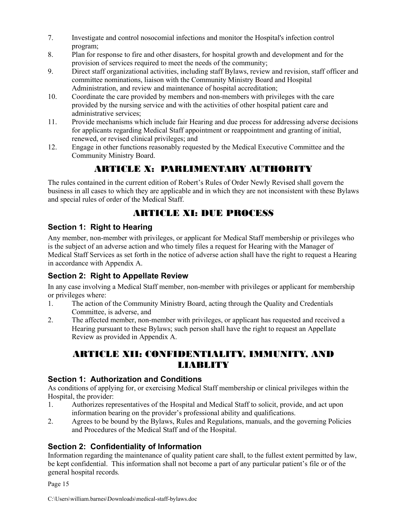- 7. Investigate and control nosocomial infections and monitor the Hospital's infection control program;
- 8. Plan for response to fire and other disasters, for hospital growth and development and for the provision of services required to meet the needs of the community;
- 9. Direct staff organizational activities, including staff Bylaws, review and revision, staff officer and committee nominations, liaison with the Community Ministry Board and Hospital Administration, and review and maintenance of hospital accreditation;
- 10. Coordinate the care provided by members and non-members with privileges with the care provided by the nursing service and with the activities of other hospital patient care and administrative services;
- 11. Provide mechanisms which include fair Hearing and due process for addressing adverse decisions for applicants regarding Medical Staff appointment or reappointment and granting of initial, renewed, or revised clinical privileges; and
- <span id="page-18-0"></span>12. Engage in other functions reasonably requested by the Medical Executive Committee and the Community Ministry Board.

# ARTICLE X: PARLIMENTARY AUTHORITY

The rules contained in the current edition of Robert's Rules of Order Newly Revised shall govern the business in all cases to which they are applicable and in which they are not inconsistent with these Bylaws and special rules of order of the Medical Staff.

# ARTICLE XI: DUE PROCESS

### <span id="page-18-2"></span><span id="page-18-1"></span>**Section 1: Right to Hearing**

Any member, non-member with privileges, or applicant for Medical Staff membership or privileges who is the subject of an adverse action and who timely files a request for Hearing with the Manager of Medical Staff Services as set forth in the notice of adverse action shall have the right to request a Hearing in accordance with Appendix A.

### <span id="page-18-3"></span>**Section 2: Right to Appellate Review**

In any case involving a Medical Staff member, non-member with privileges or applicant for membership or privileges where:

- 1. The action of the Community Ministry Board, acting through the Quality and Credentials Committee, is adverse, and
- 2. The affected member, non-member with privileges, or applicant has requested and received a Hearing pursuant to these Bylaws; such person shall have the right to request an Appellate Review as provided in Appendix A.

### <span id="page-18-4"></span>ARTICLE XII: CONFIDENTIALITY, IMMUNITY, AND LIABLITY

### <span id="page-18-5"></span>**Section 1: Authorization and Conditions**

As conditions of applying for, or exercising Medical Staff membership or clinical privileges within the Hospital, the provider:

- 1. Authorizes representatives of the Hospital and Medical Staff to solicit, provide, and act upon information bearing on the provider's professional ability and qualifications.
- 2. Agrees to be bound by the Bylaws, Rules and Regulations, manuals, and the governing Policies and Procedures of the Medical Staff and of the Hospital.

### <span id="page-18-6"></span>**Section 2: Confidentiality of Information**

Information regarding the maintenance of quality patient care shall, to the fullest extent permitted by law, be kept confidential. This information shall not become a part of any particular patient's file or of the general hospital records.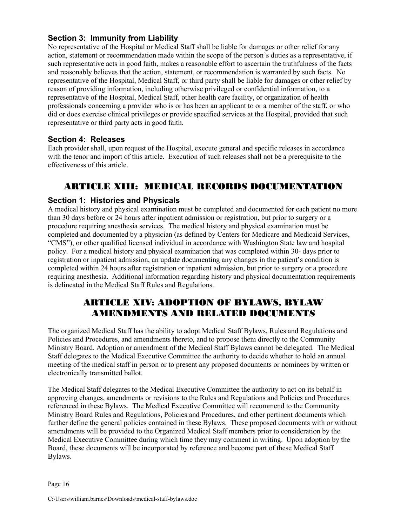### <span id="page-19-0"></span>**Section 3: Immunity from Liability**

No representative of the Hospital or Medical Staff shall be liable for damages or other relief for any action, statement or recommendation made within the scope of the person's duties as a representative, if such representative acts in good faith, makes a reasonable effort to ascertain the truthfulness of the facts and reasonably believes that the action, statement, or recommendation is warranted by such facts. No representative of the Hospital, Medical Staff, or third party shall be liable for damages or other relief by reason of providing information, including otherwise privileged or confidential information, to a representative of the Hospital, Medical Staff, other health care facility, or organization of health professionals concerning a provider who is or has been an applicant to or a member of the staff, or who did or does exercise clinical privileges or provide specified services at the Hospital, provided that such representative or third party acts in good faith.

#### <span id="page-19-1"></span>**Section 4: Releases**

Each provider shall, upon request of the Hospital, execute general and specific releases in accordance with the tenor and import of this article. Execution of such releases shall not be a prerequisite to the effectiveness of this article.

### <span id="page-19-2"></span>ARTICLE XIII: MEDICAL RECORDS DOCUMENTATION

#### <span id="page-19-3"></span>**Section 1: Histories and Physicals**

A medical history and physical examination must be completed and documented for each patient no more than 30 days before or 24 hours after inpatient admission or registration, but prior to surgery or a procedure requiring anesthesia services. The medical history and physical examination must be completed and documented by a physician (as defined by Centers for Medicare and Medicaid Services, "CMS"), or other qualified licensed individual in accordance with Washington State law and hospital policy. For a medical history and physical examination that was completed within 30- days prior to registration or inpatient admission, an update documenting any changes in the patient's condition is completed within 24 hours after registration or inpatient admission, but prior to surgery or a procedure requiring anesthesia. Additional information regarding history and physical documentation requirements is delineated in the Medical Staff Rules and Regulations.

# <span id="page-19-4"></span>ARTICLE XIV: ADOPTION OF BYLAWS, BYLAW AMENDMENTS AND RELATED DOCUMENTS

The organized Medical Staff has the ability to adopt Medical Staff Bylaws, Rules and Regulations and Policies and Procedures, and amendments thereto, and to propose them directly to the Community Ministry Board. Adoption or amendment of the Medical Staff Bylaws cannot be delegated. The Medical Staff delegates to the Medical Executive Committee the authority to decide whether to hold an annual meeting of the medical staff in person or to present any proposed documents or nominees by written or electronically transmitted ballot.

The Medical Staff delegates to the Medical Executive Committee the authority to act on its behalf in approving changes, amendments or revisions to the Rules and Regulations and Policies and Procedures referenced in these Bylaws. The Medical Executive Committee will recommend to the Community Ministry Board Rules and Regulations, Policies and Procedures, and other pertinent documents which further define the general policies contained in these Bylaws. These proposed documents with or without amendments will be provided to the Organized Medical Staff members prior to consideration by the Medical Executive Committee during which time they may comment in writing. Upon adoption by the Board, these documents will be incorporated by reference and become part of these Medical Staff Bylaws.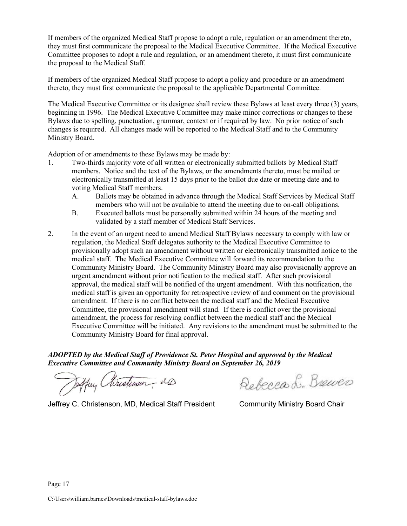If members of the organized Medical Staff propose to adopt a rule, regulation or an amendment thereto, they must first communicate the proposal to the Medical Executive Committee. If the Medical Executive Committee proposes to adopt a rule and regulation, or an amendment thereto, it must first communicate the proposal to the Medical Staff.

If members of the organized Medical Staff propose to adopt a policy and procedure or an amendment thereto, they must first communicate the proposal to the applicable Departmental Committee.

The Medical Executive Committee or its designee shall review these Bylaws at least every three (3) years, beginning in 1996. The Medical Executive Committee may make minor corrections or changes to these Bylaws due to spelling, punctuation, grammar, context or if required by law. No prior notice of such changes is required. All changes made will be reported to the Medical Staff and to the Community Ministry Board.

Adoption of or amendments to these Bylaws may be made by:

- 1. Two-thirds majority vote of all written or electronically submitted ballots by Medical Staff members. Notice and the text of the Bylaws, or the amendments thereto, must be mailed or electronically transmitted at least 15 days prior to the ballot due date or meeting date and to voting Medical Staff members.
	- A. Ballots may be obtained in advance through the Medical Staff Services by Medical Staff members who will not be available to attend the meeting due to on-call obligations.
	- B. Executed ballots must be personally submitted within 24 hours of the meeting and validated by a staff member of Medical Staff Services.
- 2. In the event of an urgent need to amend Medical Staff Bylaws necessary to comply with law or regulation, the Medical Staff delegates authority to the Medical Executive Committee to provisionally adopt such an amendment without written or electronically transmitted notice to the medical staff. The Medical Executive Committee will forward its recommendation to the Community Ministry Board. The Community Ministry Board may also provisionally approve an urgent amendment without prior notification to the medical staff. After such provisional approval, the medical staff will be notified of the urgent amendment. With this notification, the medical staff is given an opportunity for retrospective review of and comment on the provisional amendment. If there is no conflict between the medical staff and the Medical Executive Committee, the provisional amendment will stand. If there is conflict over the provisional amendment, the process for resolving conflict between the medical staff and the Medical Executive Committee will be initiated. Any revisions to the amendment must be submitted to the Community Ministry Board for final approval.

*ADOPTED by the Medical Staff of Providence St. Peter Hospital and approved by the Medical Executive Committee and Community Ministry Board on September 26, 2019*

Jeffry Christinson, die

Rebecca L. Brewer

Jeffrey C. Christenson, MD, Medical Staff President Community Ministry Board Chair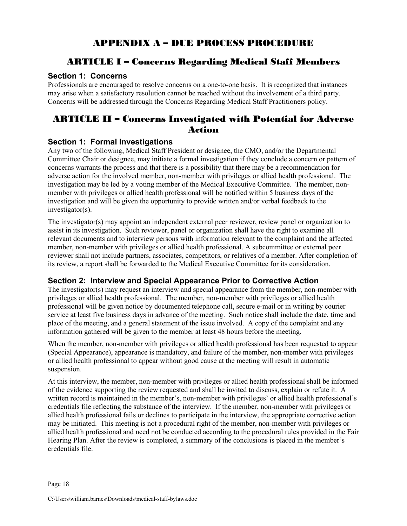### APPENDIX A – DUE PROCESS PROCEDURE

### <span id="page-21-1"></span><span id="page-21-0"></span>ARTICLE I – Concerns Regarding Medical Staff Members

#### <span id="page-21-2"></span>**Section 1: Concerns**

Professionals are encouraged to resolve concerns on a one-to-one basis. It is recognized that instances may arise when a satisfactory resolution cannot be reached without the involvement of a third party. Concerns will be addressed through the Concerns Regarding Medical Staff Practitioners policy.

### <span id="page-21-3"></span>ARTICLE II – Concerns Investigated with Potential for Adverse Action

#### <span id="page-21-4"></span>**Section 1: Formal Investigations**

Any two of the following, Medical Staff President or designee, the CMO, and/or the Departmental Committee Chair or designee, may initiate a formal investigation if they conclude a concern or pattern of concerns warrants the process and that there is a possibility that there may be a recommendation for adverse action for the involved member, non-member with privileges or allied health professional. The investigation may be led by a voting member of the Medical Executive Committee. The member, nonmember with privileges or allied health professional will be notified within 5 business days of the investigation and will be given the opportunity to provide written and/or verbal feedback to the investigator(s).

The investigator(s) may appoint an independent external peer reviewer, review panel or organization to assist in its investigation. Such reviewer, panel or organization shall have the right to examine all relevant documents and to interview persons with information relevant to the complaint and the affected member, non-member with privileges or allied health professional. A subcommittee or external peer reviewer shall not include partners, associates, competitors, or relatives of a member. After completion of its review, a report shall be forwarded to the Medical Executive Committee for its consideration.

#### <span id="page-21-5"></span>**Section 2: Interview and Special Appearance Prior to Corrective Action**

The investigator(s) may request an interview and special appearance from the member, non-member with privileges or allied health professional. The member, non-member with privileges or allied health professional will be given notice by documented telephone call, secure e-mail or in writing by courier service at least five business days in advance of the meeting. Such notice shall include the date, time and place of the meeting, and a general statement of the issue involved. A copy of the complaint and any information gathered will be given to the member at least 48 hours before the meeting.

When the member, non-member with privileges or allied health professional has been requested to appear (Special Appearance), appearance is mandatory, and failure of the member, non-member with privileges or allied health professional to appear without good cause at the meeting will result in automatic suspension.

At this interview, the member, non-member with privileges or allied health professional shall be informed of the evidence supporting the review requested and shall be invited to discuss, explain or refute it. A written record is maintained in the member's, non-member with privileges' or allied health professional's credentials file reflecting the substance of the interview. If the member, non-member with privileges or allied health professional fails or declines to participate in the interview, the appropriate corrective action may be initiated. This meeting is not a procedural right of the member, non-member with privileges or allied health professional and need not be conducted according to the procedural rules provided in the Fair Hearing Plan. After the review is completed, a summary of the conclusions is placed in the member's credentials file.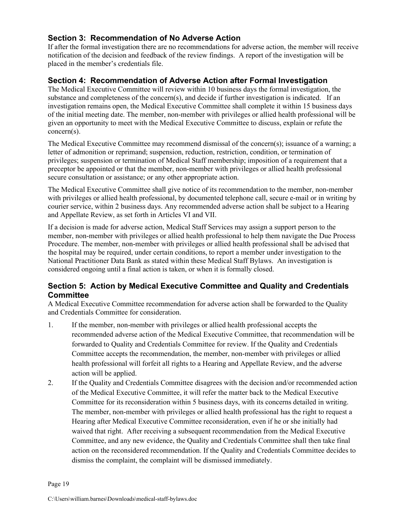### <span id="page-22-0"></span>**Section 3: Recommendation of No Adverse Action**

If after the formal investigation there are no recommendations for adverse action, the member will receive notification of the decision and feedback of the review findings. A report of the investigation will be placed in the member's credentials file.

### <span id="page-22-1"></span>**Section 4: Recommendation of Adverse Action after Formal Investigation**

The Medical Executive Committee will review within 10 business days the formal investigation, the substance and completeness of the concern(s), and decide if further investigation is indicated. If an investigation remains open, the Medical Executive Committee shall complete it within 15 business days of the initial meeting date. The member, non-member with privileges or allied health professional will be given an opportunity to meet with the Medical Executive Committee to discuss, explain or refute the concern(s).

The Medical Executive Committee may recommend dismissal of the concern(s); issuance of a warning; a letter of admonition or reprimand; suspension, reduction, restriction, condition, or termination of privileges; suspension or termination of Medical Staff membership; imposition of a requirement that a preceptor be appointed or that the member, non-member with privileges or allied health professional secure consultation or assistance; or any other appropriate action.

The Medical Executive Committee shall give notice of its recommendation to the member, non-member with privileges or allied health professional, by documented telephone call, secure e-mail or in writing by courier service, within 2 business days. Any recommended adverse action shall be subject to a Hearing and Appellate Review, as set forth in Articles VI and VII.

If a decision is made for adverse action, Medical Staff Services may assign a support person to the member, non-member with privileges or allied health professional to help them navigate the Due Process Procedure. The member, non-member with privileges or allied health professional shall be advised that the hospital may be required, under certain conditions, to report a member under investigation to the National Practitioner Data Bank as stated within these Medical Staff Bylaws. An investigation is considered ongoing until a final action is taken, or when it is formally closed.

### <span id="page-22-2"></span>**Section 5: Action by Medical Executive Committee and Quality and Credentials Committee**

A Medical Executive Committee recommendation for adverse action shall be forwarded to the Quality and Credentials Committee for consideration.

- 1. If the member, non-member with privileges or allied health professional accepts the recommended adverse action of the Medical Executive Committee, that recommendation will be forwarded to Quality and Credentials Committee for review. If the Quality and Credentials Committee accepts the recommendation, the member, non-member with privileges or allied health professional will forfeit all rights to a Hearing and Appellate Review, and the adverse action will be applied.
- 2. If the Quality and Credentials Committee disagrees with the decision and/or recommended action of the Medical Executive Committee, it will refer the matter back to the Medical Executive Committee for its reconsideration within 5 business days, with its concerns detailed in writing. The member, non-member with privileges or allied health professional has the right to request a Hearing after Medical Executive Committee reconsideration, even if he or she initially had waived that right. After receiving a subsequent recommendation from the Medical Executive Committee, and any new evidence, the Quality and Credentials Committee shall then take final action on the reconsidered recommendation. If the Quality and Credentials Committee decides to dismiss the complaint, the complaint will be dismissed immediately.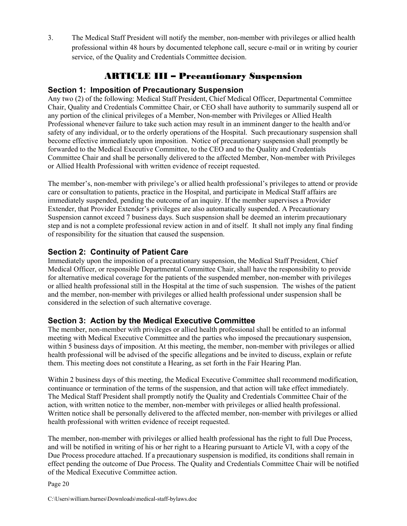3. The Medical Staff President will notify the member, non-member with privileges or allied health professional within 48 hours by documented telephone call, secure e-mail or in writing by courier service, of the Quality and Credentials Committee decision.

# ARTICLE III – Precautionary Suspension

#### <span id="page-23-1"></span><span id="page-23-0"></span>**Section 1: Imposition of Precautionary Suspension**

Any two (2) of the following: Medical Staff President, Chief Medical Officer, Departmental Committee Chair, Quality and Credentials Committee Chair, or CEO shall have authority to summarily suspend all or any portion of the clinical privileges of a Member, Non-member with Privileges or Allied Health Professional whenever failure to take such action may result in an imminent danger to the health and/or safety of any individual, or to the orderly operations of the Hospital. Such precautionary suspension shall become effective immediately upon imposition. Notice of precautionary suspension shall promptly be forwarded to the Medical Executive Committee, to the CEO and to the Quality and Credentials Committee Chair and shall be personally delivered to the affected Member, Non-member with Privileges or Allied Health Professional with written evidence of receipt requested.

The member's, non-member with privilege's or allied health professional's privileges to attend or provide care or consultation to patients, practice in the Hospital, and participate in Medical Staff affairs are immediately suspended, pending the outcome of an inquiry. If the member supervises a Provider Extender, that Provider Extender's privileges are also automatically suspended. A Precautionary Suspension cannot exceed 7 business days. Such suspension shall be deemed an interim precautionary step and is not a complete professional review action in and of itself. It shall not imply any final finding of responsibility for the situation that caused the suspension.

### <span id="page-23-2"></span>**Section 2: Continuity of Patient Care**

Immediately upon the imposition of a precautionary suspension, the Medical Staff President, Chief Medical Officer, or responsible Departmental Committee Chair, shall have the responsibility to provide for alternative medical coverage for the patients of the suspended member, non-member with privileges or allied health professional still in the Hospital at the time of such suspension. The wishes of the patient and the member, non-member with privileges or allied health professional under suspension shall be considered in the selection of such alternative coverage.

### <span id="page-23-3"></span>**Section 3: Action by the Medical Executive Committee**

The member, non-member with privileges or allied health professional shall be entitled to an informal meeting with Medical Executive Committee and the parties who imposed the precautionary suspension, within 5 business days of imposition. At this meeting, the member, non-member with privileges or allied health professional will be advised of the specific allegations and be invited to discuss, explain or refute them. This meeting does not constitute a Hearing, as set forth in the Fair Hearing Plan.

Within 2 business days of this meeting, the Medical Executive Committee shall recommend modification, continuance or termination of the terms of the suspension, and that action will take effect immediately. The Medical Staff President shall promptly notify the Quality and Credentials Committee Chair of the action, with written notice to the member, non-member with privileges or allied health professional. Written notice shall be personally delivered to the affected member, non-member with privileges or allied health professional with written evidence of receipt requested.

The member, non-member with privileges or allied health professional has the right to full Due Process, and will be notified in writing of his or her right to a Hearing pursuant to Article VI, with a copy of the Due Process procedure attached. If a precautionary suspension is modified, its conditions shall remain in effect pending the outcome of Due Process. The Quality and Credentials Committee Chair will be notified of the Medical Executive Committee action.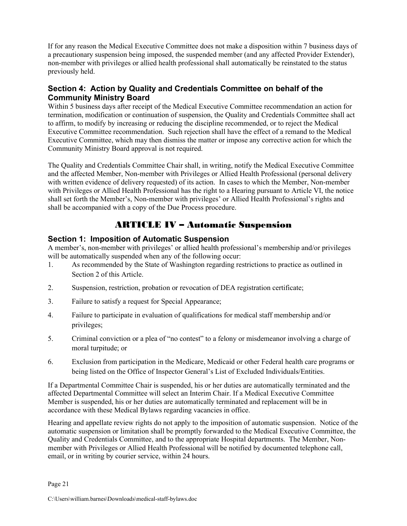If for any reason the Medical Executive Committee does not make a disposition within 7 business days of a precautionary suspension being imposed, the suspended member (and any affected Provider Extender), non-member with privileges or allied health professional shall automatically be reinstated to the status previously held.

### <span id="page-24-0"></span>**Section 4: Action by Quality and Credentials Committee on behalf of the Community Ministry Board**

Within 5 business days after receipt of the Medical Executive Committee recommendation an action for termination, modification or continuation of suspension, the Quality and Credentials Committee shall act to affirm, to modify by increasing or reducing the discipline recommended, or to reject the Medical Executive Committee recommendation. Such rejection shall have the effect of a remand to the Medical Executive Committee, which may then dismiss the matter or impose any corrective action for which the Community Ministry Board approval is not required.

The Quality and Credentials Committee Chair shall, in writing, notify the Medical Executive Committee and the affected Member, Non-member with Privileges or Allied Health Professional (personal delivery with written evidence of delivery requested) of its action. In cases to which the Member, Non-member with Privileges or Allied Health Professional has the right to a Hearing pursuant to Article VI, the notice shall set forth the Member's, Non-member with privileges' or Allied Health Professional's rights and shall be accompanied with a copy of the Due Process procedure.

# ARTICLE IV – Automatic Suspension

### <span id="page-24-2"></span><span id="page-24-1"></span>**Section 1: Imposition of Automatic Suspension**

A member's, non-member with privileges' or allied health professional's membership and/or privileges will be automatically suspended when any of the following occur:

- 1. As recommended by the State of Washington regarding restrictions to practice as outlined in Section 2 of this Article.
- 2. Suspension, restriction, probation or revocation of DEA registration certificate;
- 3. Failure to satisfy a request for Special Appearance;
- 4. Failure to participate in evaluation of qualifications for medical staff membership and/or privileges;
- 5. Criminal conviction or a plea of "no contest" to a felony or misdemeanor involving a charge of moral turpitude; or
- 6. Exclusion from participation in the Medicare, Medicaid or other Federal health care programs or being listed on the Office of Inspector General's List of Excluded Individuals/Entities.

If a Departmental Committee Chair is suspended, his or her duties are automatically terminated and the affected Departmental Committee will select an Interim Chair. If a Medical Executive Committee Member is suspended, his or her duties are automatically terminated and replacement will be in accordance with these Medical Bylaws regarding vacancies in office.

Hearing and appellate review rights do not apply to the imposition of automatic suspension. Notice of the automatic suspension or limitation shall be promptly forwarded to the Medical Executive Committee, the Quality and Credentials Committee, and to the appropriate Hospital departments. The Member, Nonmember with Privileges or Allied Health Professional will be notified by documented telephone call, email, or in writing by courier service, within 24 hours.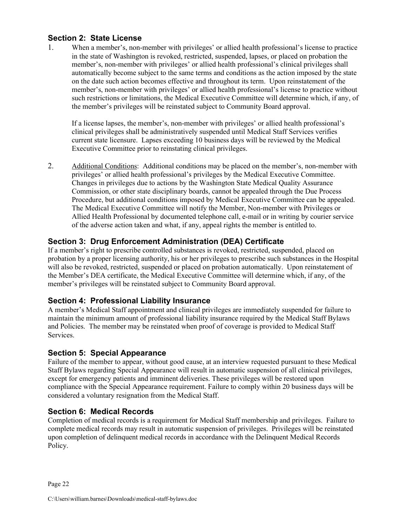### <span id="page-25-0"></span>**Section 2: State License**

1. When a member's, non-member with privileges' or allied health professional's license to practice in the state of Washington is revoked, restricted, suspended, lapses, or placed on probation the member's, non-member with privileges' or allied health professional's clinical privileges shall automatically become subject to the same terms and conditions as the action imposed by the state on the date such action becomes effective and throughout its term. Upon reinstatement of the member's, non-member with privileges' or allied health professional's license to practice without such restrictions or limitations, the Medical Executive Committee will determine which, if any, of the member's privileges will be reinstated subject to Community Board approval.

If a license lapses, the member's, non-member with privileges' or allied health professional's clinical privileges shall be administratively suspended until Medical Staff Services verifies current state licensure. Lapses exceeding 10 business days will be reviewed by the Medical Executive Committee prior to reinstating clinical privileges.

2. Additional Conditions: Additional conditions may be placed on the member's, non-member with privileges' or allied health professional's privileges by the Medical Executive Committee. Changes in privileges due to actions by the Washington State Medical Quality Assurance Commission, or other state disciplinary boards, cannot be appealed through the Due Process Procedure, but additional conditions imposed by Medical Executive Committee can be appealed. The Medical Executive Committee will notify the Member, Non-member with Privileges or Allied Health Professional by documented telephone call, e-mail or in writing by courier service of the adverse action taken and what, if any, appeal rights the member is entitled to.

### <span id="page-25-1"></span>**Section 3: Drug Enforcement Administration (DEA) Certificate**

If a member's right to prescribe controlled substances is revoked, restricted, suspended, placed on probation by a proper licensing authority, his or her privileges to prescribe such substances in the Hospital will also be revoked, restricted, suspended or placed on probation automatically. Upon reinstatement of the Member's DEA certificate, the Medical Executive Committee will determine which, if any, of the member's privileges will be reinstated subject to Community Board approval.

#### <span id="page-25-2"></span>**Section 4: Professional Liability Insurance**

A member's Medical Staff appointment and clinical privileges are immediately suspended for failure to maintain the minimum amount of professional liability insurance required by the Medical Staff Bylaws and Policies. The member may be reinstated when proof of coverage is provided to Medical Staff Services.

#### <span id="page-25-3"></span>**Section 5: Special Appearance**

Failure of the member to appear, without good cause, at an interview requested pursuant to these Medical Staff Bylaws regarding Special Appearance will result in automatic suspension of all clinical privileges, except for emergency patients and imminent deliveries. These privileges will be restored upon compliance with the Special Appearance requirement. Failure to comply within 20 business days will be considered a voluntary resignation from the Medical Staff.

#### <span id="page-25-4"></span>**Section 6: Medical Records**

Completion of medical records is a requirement for Medical Staff membership and privileges. Failure to complete medical records may result in automatic suspension of privileges. Privileges will be reinstated upon completion of delinquent medical records in accordance with the Delinquent Medical Records Policy.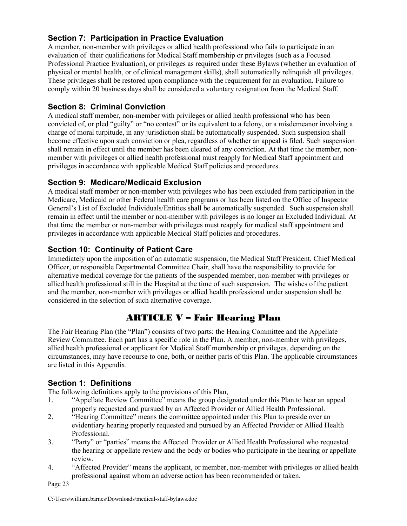### <span id="page-26-0"></span>**Section 7: Participation in Practice Evaluation**

A member, non-member with privileges or allied health professional who fails to participate in an evaluation of their qualifications for Medical Staff membership or privileges (such as a Focused Professional Practice Evaluation), or privileges as required under these Bylaws (whether an evaluation of physical or mental health, or of clinical management skills), shall automatically relinquish all privileges. These privileges shall be restored upon compliance with the requirement for an evaluation. Failure to comply within 20 business days shall be considered a voluntary resignation from the Medical Staff.

### <span id="page-26-1"></span>**Section 8: Criminal Conviction**

A medical staff member, non-member with privileges or allied health professional who has been convicted of, or pled "guilty" or "no contest" or its equivalent to a felony, or a misdemeanor involving a charge of moral turpitude, in any jurisdiction shall be automatically suspended. Such suspension shall become effective upon such conviction or plea, regardless of whether an appeal is filed. Such suspension shall remain in effect until the member has been cleared of any conviction. At that time the member, nonmember with privileges or allied health professional must reapply for Medical Staff appointment and privileges in accordance with applicable Medical Staff policies and procedures.

### <span id="page-26-2"></span>**Section 9: Medicare/Medicaid Exclusion**

A medical staff member or non-member with privileges who has been excluded from participation in the Medicare, Medicaid or other Federal health care programs or has been listed on the Office of Inspector General's List of Excluded Individuals/Entities shall be automatically suspended. Such suspension shall remain in effect until the member or non-member with privileges is no longer an Excluded Individual. At that time the member or non-member with privileges must reapply for medical staff appointment and privileges in accordance with applicable Medical Staff policies and procedures.

### <span id="page-26-3"></span>**Section 10: Continuity of Patient Care**

Immediately upon the imposition of an automatic suspension, the Medical Staff President, Chief Medical Officer, or responsible Departmental Committee Chair, shall have the responsibility to provide for alternative medical coverage for the patients of the suspended member, non-member with privileges or allied health professional still in the Hospital at the time of such suspension. The wishes of the patient and the member, non-member with privileges or allied health professional under suspension shall be considered in the selection of such alternative coverage.

# ARTICLE V – Fair Hearing Plan

<span id="page-26-4"></span>The Fair Hearing Plan (the "Plan") consists of two parts: the Hearing Committee and the Appellate Review Committee. Each part has a specific role in the Plan. A member, non-member with privileges, allied health professional or applicant for Medical Staff membership or privileges, depending on the circumstances, may have recourse to one, both, or neither parts of this Plan. The applicable circumstances are listed in this Appendix.

### <span id="page-26-5"></span>**Section 1: Definitions**

The following definitions apply to the provisions of this Plan,

- 1. "Appellate Review Committee" means the group designated under this Plan to hear an appeal properly requested and pursued by an Affected Provider or Allied Health Professional.
- 2. "Hearing Committee" means the committee appointed under this Plan to preside over an evidentiary hearing properly requested and pursued by an Affected Provider or Allied Health Professional.
- 3. "Party" or "parties" means the Affected Provider or Allied Health Professional who requested the hearing or appellate review and the body or bodies who participate in the hearing or appellate review.
- 4. "Affected Provider" means the applicant, or member, non-member with privileges or allied health professional against whom an adverse action has been recommended or taken.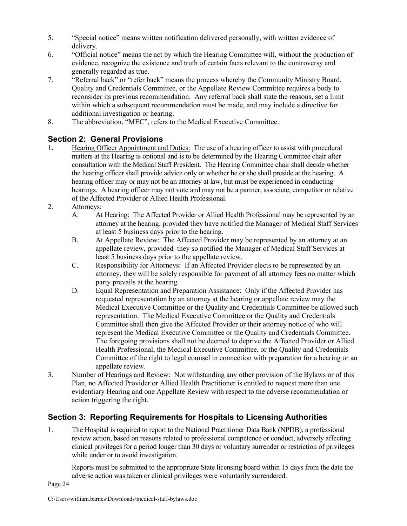- 5. "Special notice" means written notification delivered personally, with written evidence of delivery.
- 6. "Official notice" means the act by which the Hearing Committee will, without the production of evidence, recognize the existence and truth of certain facts relevant to the controversy and generally regarded as true.
- 7. "Referral back" or "refer back" means the process whereby the Community Ministry Board, Quality and Credentials Committee, or the Appellate Review Committee requires a body to reconsider its previous recommendation. Any referral back shall state the reasons, set a limit within which a subsequent recommendation must be made, and may include a directive for additional investigation or hearing.
- 8. The abbreviation, "MEC", refers to the Medical Executive Committee.

### <span id="page-27-0"></span>**Section 2: General Provisions**

- 1**.** Hearing Officer Appointment and Duties: The use of a hearing officer to assist with procedural matters at the Hearing is optional and is to be determined by the Hearing Committee chair after consultation with the Medical Staff President. The Hearing Committee chair shall decide whether the hearing officer shall provide advice only or whether he or she shall preside at the hearing. A hearing officer may or may not be an attorney at law, but must be experienced in conducting hearings. A hearing officer may not vote and may not be a partner, associate, competitor or relative of the Affected Provider or Allied Health Professional.
- 2. Attorneys:
	- A. At Hearing: The Affected Provider or Allied Health Professional may be represented by an attorney at the hearing, provided they have notified the Manager of Medical Staff Services at least 5 business days prior to the hearing.
	- B. At Appellate Review: The Affected Provider may be represented by an attorney at an appellate review, provided they so notified the Manager of Medical Staff Services at least 5 business days prior to the appellate review.
	- C. Responsibility for Attorneys: If an Affected Provider elects to be represented by an attorney, they will be solely responsible for payment of all attorney fees no matter which party prevails at the hearing.
	- D. Equal Representation and Preparation Assistance: Only if the Affected Provider has requested representation by an attorney at the hearing or appellate review may the Medical Executive Committee or the Quality and Credentials Committee be allowed such representation. The Medical Executive Committee or the Quality and Credentials Committee shall then give the Affected Provider or their attorney notice of who will represent the Medical Executive Committee or the Quality and Credentials Committee. The foregoing provisions shall not be deemed to deprive the Affected Provider or Allied Health Professional, the Medical Executive Committee, or the Quality and Credentials Committee of the right to legal counsel in connection with preparation for a hearing or an appellate review.
- 3. Number of Hearings and Review: Not withstanding any other provision of the Bylaws or of this Plan, no Affected Provider or Allied Health Practitioner is entitled to request more than one evidentiary Hearing and one Appellate Review with respect to the adverse recommendation or action triggering the right.

### <span id="page-27-1"></span>**Section 3: Reporting Requirements for Hospitals to Licensing Authorities**

1. The Hospital is required to report to the National Practitioner Data Bank (NPDB), a professional review action, based on reasons related to professional competence or conduct, adversely affecting clinical privileges for a period longer than 30 days or voluntary surrender or restriction of privileges while under or to avoid investigation.

Reports must be submitted to the appropriate State licensing board within 15 days from the date the adverse action was taken or clinical privileges were voluntarily surrendered.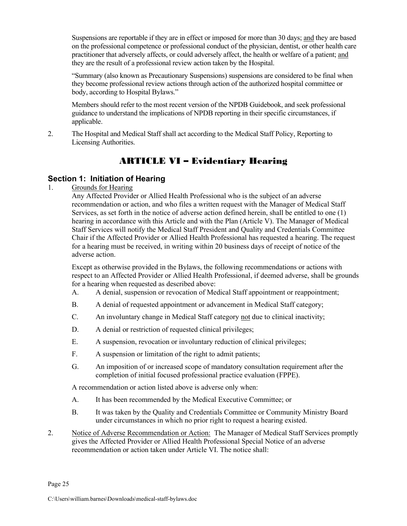Suspensions are reportable if they are in effect or imposed for more than 30 days; and they are based on the professional competence or professional conduct of the physician, dentist, or other health care practitioner that adversely affects, or could adversely affect, the health or welfare of a patient; and they are the result of a professional review action taken by the Hospital.

"Summary (also known as Precautionary Suspensions) suspensions are considered to be final when they become professional review actions through action of the authorized hospital committee or body, according to Hospital Bylaws."

Members should refer to the most recent version of the NPDB Guidebook, and seek professional guidance to understand the implications of NPDB reporting in their specific circumstances, if applicable.

2. The Hospital and Medical Staff shall act according to the Medical Staff Policy, Reporting to Licensing Authorities.

### ARTICLE VI – Evidentiary Hearing

#### <span id="page-28-1"></span><span id="page-28-0"></span>**Section 1: Initiation of Hearing**

1. Grounds for Hearing

Any Affected Provider or Allied Health Professional who is the subject of an adverse recommendation or action, and who files a written request with the Manager of Medical Staff Services, as set forth in the notice of adverse action defined herein, shall be entitled to one (1) hearing in accordance with this Article and with the Plan (Article V). The Manager of Medical Staff Services will notify the Medical Staff President and Quality and Credentials Committee Chair if the Affected Provider or Allied Health Professional has requested a hearing. The request for a hearing must be received, in writing within 20 business days of receipt of notice of the adverse action.

Except as otherwise provided in the Bylaws, the following recommendations or actions with respect to an Affected Provider or Allied Health Professional, if deemed adverse, shall be grounds for a hearing when requested as described above:

- A. A denial, suspension or revocation of Medical Staff appointment or reappointment;
- B. A denial of requested appointment or advancement in Medical Staff category;
- C. An involuntary change in Medical Staff category not due to clinical inactivity;
- D. A denial or restriction of requested clinical privileges;
- E. A suspension, revocation or involuntary reduction of clinical privileges;
- F. A suspension or limitation of the right to admit patients;
- G. An imposition of or increased scope of mandatory consultation requirement after the completion of initial focused professional practice evaluation (FPPE).

A recommendation or action listed above is adverse only when:

- A. It has been recommended by the Medical Executive Committee; or
- B. It was taken by the Quality and Credentials Committee or Community Ministry Board under circumstances in which no prior right to request a hearing existed.
- 2. Notice of Adverse Recommendation or Action: The Manager of Medical Staff Services promptly gives the Affected Provider or Allied Health Professional Special Notice of an adverse recommendation or action taken under Article VI. The notice shall: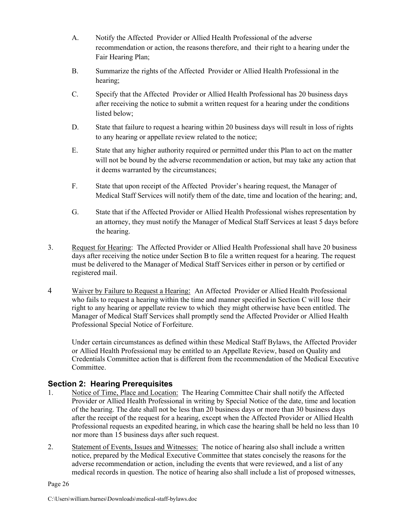- A. Notify the Affected Provider or Allied Health Professional of the adverse recommendation or action, the reasons therefore, and their right to a hearing under the Fair Hearing Plan;
- B. Summarize the rights of the Affected Provider or Allied Health Professional in the hearing;
- C. Specify that the Affected Provider or Allied Health Professional has 20 business days after receiving the notice to submit a written request for a hearing under the conditions listed below;
- D. State that failure to request a hearing within 20 business days will result in loss of rights to any hearing or appellate review related to the notice;
- E. State that any higher authority required or permitted under this Plan to act on the matter will not be bound by the adverse recommendation or action, but may take any action that it deems warranted by the circumstances;
- F. State that upon receipt of the Affected Provider's hearing request, the Manager of Medical Staff Services will notify them of the date, time and location of the hearing; and,
- G. State that if the Affected Provider or Allied Health Professional wishes representation by an attorney, they must notify the Manager of Medical Staff Services at least 5 days before the hearing.
- 3. Request for Hearing: The Affected Provider or Allied Health Professional shall have 20 business days after receiving the notice under Section B to file a written request for a hearing. The request must be delivered to the Manager of Medical Staff Services either in person or by certified or registered mail.
- 4 Waiver by Failure to Request a Hearing: An Affected Provider or Allied Health Professional who fails to request a hearing within the time and manner specified in Section C will lose their right to any hearing or appellate review to which they might otherwise have been entitled. The Manager of Medical Staff Services shall promptly send the Affected Provider or Allied Health Professional Special Notice of Forfeiture.

Under certain circumstances as defined within these Medical Staff Bylaws, the Affected Provider or Allied Health Professional may be entitled to an Appellate Review, based on Quality and Credentials Committee action that is different from the recommendation of the Medical Executive Committee.

#### <span id="page-29-0"></span>**Section 2: Hearing Prerequisites**

- 1. Notice of Time, Place and Location: The Hearing Committee Chair shall notify the Affected Provider or Allied Health Professional in writing by Special Notice of the date, time and location of the hearing. The date shall not be less than 20 business days or more than 30 business days after the receipt of the request for a hearing, except when the Affected Provider or Allied Health Professional requests an expedited hearing, in which case the hearing shall be held no less than 10 nor more than 15 business days after such request.
- 2. Statement of Events, Issues and Witnesses: The notice of hearing also shall include a written notice, prepared by the Medical Executive Committee that states concisely the reasons for the adverse recommendation or action, including the events that were reviewed, and a list of any medical records in question. The notice of hearing also shall include a list of proposed witnesses,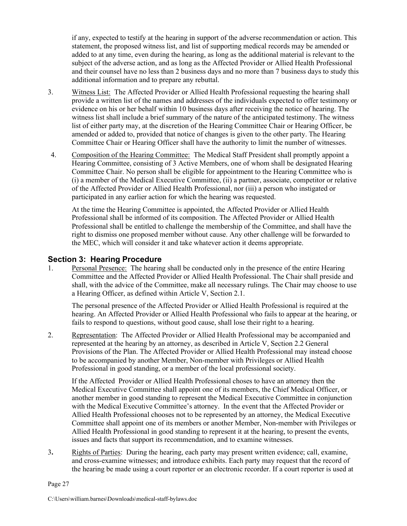if any, expected to testify at the hearing in support of the adverse recommendation or action. This statement, the proposed witness list, and list of supporting medical records may be amended or added to at any time, even during the hearing, as long as the additional material is relevant to the subject of the adverse action, and as long as the Affected Provider or Allied Health Professional and their counsel have no less than 2 business days and no more than 7 business days to study this additional information and to prepare any rebuttal.

- 3. Witness List: The Affected Provider or Allied Health Professional requesting the hearing shall provide a written list of the names and addresses of the individuals expected to offer testimony or evidence on his or her behalf within 10 business days after receiving the notice of hearing. The witness list shall include a brief summary of the nature of the anticipated testimony. The witness list of either party may, at the discretion of the Hearing Committee Chair or Hearing Officer, be amended or added to, provided that notice of changes is given to the other party. The Hearing Committee Chair or Hearing Officer shall have the authority to limit the number of witnesses.
- 4. Composition of the Hearing Committee: The Medical Staff President shall promptly appoint a Hearing Committee, consisting of 3 Active Members, one of whom shall be designated Hearing Committee Chair. No person shall be eligible for appointment to the Hearing Committee who is (i) a member of the Medical Executive Committee, (ii) a partner, associate, competitor or relative of the Affected Provider or Allied Health Professional, nor (iii) a person who instigated or participated in any earlier action for which the hearing was requested.

At the time the Hearing Committee is appointed, the Affected Provider or Allied Health Professional shall be informed of its composition. The Affected Provider or Allied Health Professional shall be entitled to challenge the membership of the Committee, and shall have the right to dismiss one proposed member without cause. Any other challenge will be forwarded to the MEC, which will consider it and take whatever action it deems appropriate.

#### <span id="page-30-0"></span>**Section 3: Hearing Procedure**

1. Personal Presence: The hearing shall be conducted only in the presence of the entire Hearing Committee and the Affected Provider or Allied Health Professional. The Chair shall preside and shall, with the advice of the Committee, make all necessary rulings. The Chair may choose to use a Hearing Officer, as defined within Article V, Section 2.1.

The personal presence of the Affected Provider or Allied Health Professional is required at the hearing. An Affected Provider or Allied Health Professional who fails to appear at the hearing, or fails to respond to questions, without good cause, shall lose their right to a hearing.

2. Representation: The Affected Provider or Allied Health Professional may be accompanied and represented at the hearing by an attorney, as described in Article V, Section 2.2 General Provisions of the Plan. The Affected Provider or Allied Health Professional may instead choose to be accompanied by another Member, Non-member with Privileges or Allied Health Professional in good standing, or a member of the local professional society.

If the Affected Provider or Allied Health Professional choses to have an attorney then the Medical Executive Committee shall appoint one of its members, the Chief Medical Officer, or another member in good standing to represent the Medical Executive Committee in conjunction with the Medical Executive Committee's attorney. In the event that the Affected Provider or Allied Health Professional chooses not to be represented by an attorney, the Medical Executive Committee shall appoint one of its members or another Member, Non-member with Privileges or Allied Health Professional in good standing to represent it at the hearing, to present the events, issues and facts that support its recommendation, and to examine witnesses.

3**.** Rights of Parties: During the hearing, each party may present written evidence; call, examine, and cross-examine witnesses; and introduce exhibits. Each party may request that the record of the hearing be made using a court reporter or an electronic recorder. If a court reporter is used at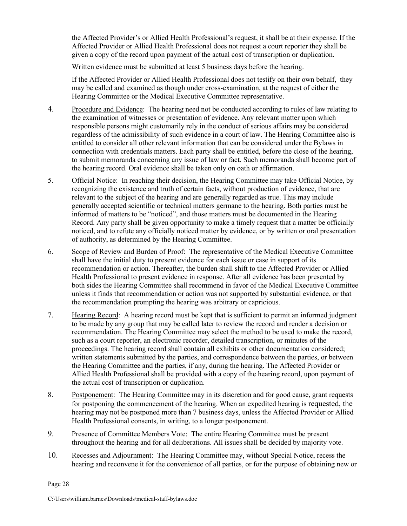the Affected Provider's or Allied Health Professional's request, it shall be at their expense. If the Affected Provider or Allied Health Professional does not request a court reporter they shall be given a copy of the record upon payment of the actual cost of transcription or duplication.

Written evidence must be submitted at least 5 business days before the hearing.

If the Affected Provider or Allied Health Professional does not testify on their own behalf, they may be called and examined as though under cross-examination, at the request of either the Hearing Committee or the Medical Executive Committee representative.

- 4. Procedure and Evidence: The hearing need not be conducted according to rules of law relating to the examination of witnesses or presentation of evidence. Any relevant matter upon which responsible persons might customarily rely in the conduct of serious affairs may be considered regardless of the admissibility of such evidence in a court of law. The Hearing Committee also is entitled to consider all other relevant information that can be considered under the Bylaws in connection with credentials matters. Each party shall be entitled, before the close of the hearing, to submit memoranda concerning any issue of law or fact. Such memoranda shall become part of the hearing record. Oral evidence shall be taken only on oath or affirmation.
- 5. Official Notice: In reaching their decision, the Hearing Committee may take Official Notice, by recognizing the existence and truth of certain facts, without production of evidence, that are relevant to the subject of the hearing and are generally regarded as true. This may include generally accepted scientific or technical matters germane to the hearing. Both parties must be informed of matters to be "noticed", and those matters must be documented in the Hearing Record. Any party shall be given opportunity to make a timely request that a matter be officially noticed, and to refute any officially noticed matter by evidence, or by written or oral presentation of authority, as determined by the Hearing Committee.
- 6. Scope of Review and Burden of Proof: The representative of the Medical Executive Committee shall have the initial duty to present evidence for each issue or case in support of its recommendation or action. Thereafter, the burden shall shift to the Affected Provider or Allied Health Professional to present evidence in response. After all evidence has been presented by both sides the Hearing Committee shall recommend in favor of the Medical Executive Committee unless it finds that recommendation or action was not supported by substantial evidence, or that the recommendation prompting the hearing was arbitrary or capricious.
- 7. Hearing Record: A hearing record must be kept that is sufficient to permit an informed judgment to be made by any group that may be called later to review the record and render a decision or recommendation. The Hearing Committee may select the method to be used to make the record, such as a court reporter, an electronic recorder, detailed transcription, or minutes of the proceedings. The hearing record shall contain all exhibits or other documentation considered; written statements submitted by the parties, and correspondence between the parties, or between the Hearing Committee and the parties, if any, during the hearing. The Affected Provider or Allied Health Professional shall be provided with a copy of the hearing record, upon payment of the actual cost of transcription or duplication.
- 8. Postponement: The Hearing Committee may in its discretion and for good cause, grant requests for postponing the commencement of the hearing. When an expedited hearing is requested, the hearing may not be postponed more than 7 business days, unless the Affected Provider or Allied Health Professional consents, in writing, to a longer postponement.
- 9. Presence of Committee Members Vote: The entire Hearing Committee must be present throughout the hearing and for all deliberations. All issues shall be decided by majority vote.
- 10. Recesses and Adjournment: The Hearing Committee may, without Special Notice, recess the hearing and reconvene it for the convenience of all parties, or for the purpose of obtaining new or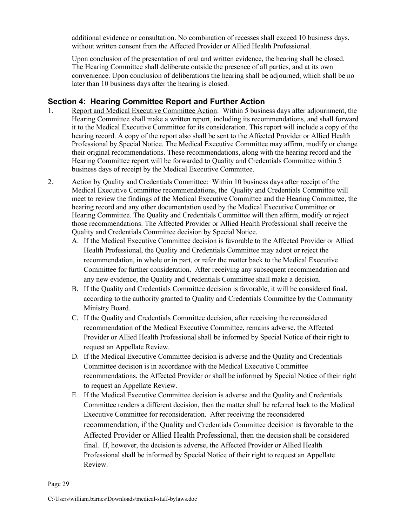additional evidence or consultation. No combination of recesses shall exceed 10 business days, without written consent from the Affected Provider or Allied Health Professional.

Upon conclusion of the presentation of oral and written evidence, the hearing shall be closed. The Hearing Committee shall deliberate outside the presence of all parties, and at its own convenience. Upon conclusion of deliberations the hearing shall be adjourned, which shall be no later than 10 business days after the hearing is closed.

#### <span id="page-32-0"></span>**Section 4: Hearing Committee Report and Further Action**

- 1. Report and Medical Executive Committee Action: Within 5 business days after adjournment, the Hearing Committee shall make a written report, including its recommendations, and shall forward it to the Medical Executive Committee for its consideration. This report will include a copy of the hearing record. A copy of the report also shall be sent to the Affected Provider or Allied Health Professional by Special Notice. The Medical Executive Committee may affirm, modify or change their original recommendations. These recommendations, along with the hearing record and the Hearing Committee report will be forwarded to Quality and Credentials Committee within 5 business days of receipt by the Medical Executive Committee.
- 2. Action by Quality and Credentials Committee: Within 10 business days after receipt of the Medical Executive Committee recommendations, the Quality and Credentials Committee will meet to review the findings of the Medical Executive Committee and the Hearing Committee, the hearing record and any other documentation used by the Medical Executive Committee or Hearing Committee. The Quality and Credentials Committee will then affirm, modify or reject those recommendations. The Affected Provider or Allied Health Professional shall receive the Quality and Credentials Committee decision by Special Notice.
	- A. If the Medical Executive Committee decision is favorable to the Affected Provider or Allied Health Professional, the Quality and Credentials Committee may adopt or reject the recommendation, in whole or in part, or refer the matter back to the Medical Executive Committee for further consideration. After receiving any subsequent recommendation and any new evidence, the Quality and Credentials Committee shall make a decision.
	- B. If the Quality and Credentials Committee decision is favorable, it will be considered final, according to the authority granted to Quality and Credentials Committee by the Community Ministry Board.
	- C. If the Quality and Credentials Committee decision, after receiving the reconsidered recommendation of the Medical Executive Committee, remains adverse, the Affected Provider or Allied Health Professional shall be informed by Special Notice of their right to request an Appellate Review.
	- D. If the Medical Executive Committee decision is adverse and the Quality and Credentials Committee decision is in accordance with the Medical Executive Committee recommendations, the Affected Provider or shall be informed by Special Notice of their right to request an Appellate Review.
	- E. If the Medical Executive Committee decision is adverse and the Quality and Credentials Committee renders a different decision, then the matter shall be referred back to the Medical Executive Committee for reconsideration. After receiving the reconsidered recommendation, if the Quality and Credentials Committee decision is favorable to the Affected Provider or Allied Health Professional, then the decision shall be considered final. If, however, the decision is adverse, the Affected Provider or Allied Health Professional shall be informed by Special Notice of their right to request an Appellate Review.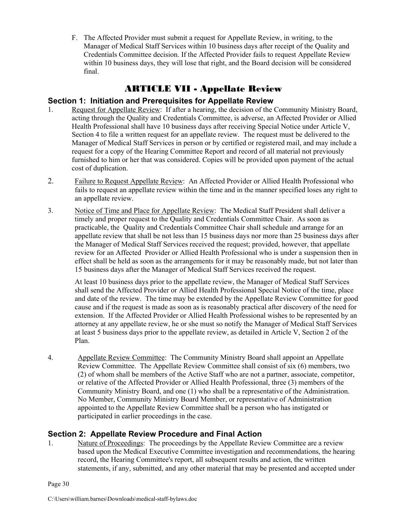F. The Affected Provider must submit a request for Appellate Review, in writing, to the Manager of Medical Staff Services within 10 business days after receipt of the Quality and Credentials Committee decision. If the Affected Provider fails to request Appellate Review within 10 business days, they will lose that right, and the Board decision will be considered final.

# ARTICLE VII - Appellate Review

#### <span id="page-33-1"></span><span id="page-33-0"></span>**Section 1: Initiation and Prerequisites for Appellate Review**

- 1. Request for Appellate Review: If after a hearing, the decision of the Community Ministry Board, acting through the Quality and Credentials Committee, is adverse, an Affected Provider or Allied Health Professional shall have 10 business days after receiving Special Notice under Article V, Section 4 to file a written request for an appellate review. The request must be delivered to the Manager of Medical Staff Services in person or by certified or registered mail, and may include a request for a copy of the Hearing Committee Report and record of all material not previously furnished to him or her that was considered. Copies will be provided upon payment of the actual cost of duplication.
- 2. Failure to Request Appellate Review: An Affected Provider or Allied Health Professional who fails to request an appellate review within the time and in the manner specified loses any right to an appellate review.
- 3. Notice of Time and Place for Appellate Review: The Medical Staff President shall deliver a timely and proper request to the Quality and Credentials Committee Chair. As soon as practicable, the Quality and Credentials Committee Chair shall schedule and arrange for an appellate review that shall be not less than 15 business days nor more than 25 business days after the Manager of Medical Staff Services received the request; provided, however, that appellate review for an Affected Provider or Allied Health Professional who is under a suspension then in effect shall be held as soon as the arrangements for it may be reasonably made, but not later than 15 business days after the Manager of Medical Staff Services received the request.

At least 10 business days prior to the appellate review, the Manager of Medical Staff Services shall send the Affected Provider or Allied Health Professional Special Notice of the time, place and date of the review. The time may be extended by the Appellate Review Committee for good cause and if the request is made as soon as is reasonably practical after discovery of the need for extension. If the Affected Provider or Allied Health Professional wishes to be represented by an attorney at any appellate review, he or she must so notify the Manager of Medical Staff Services at least 5 business days prior to the appellate review, as detailed in Article V, Section 2 of the Plan.

4. Appellate Review Committee: The Community Ministry Board shall appoint an Appellate Review Committee. The Appellate Review Committee shall consist of six (6) members, two (2) of whom shall be members of the Active Staff who are not a partner, associate, competitor, or relative of the Affected Provider or Allied Health Professional, three (3) members of the Community Ministry Board, and one (1) who shall be a representative of the Administration. No Member, Community Ministry Board Member, or representative of Administration appointed to the Appellate Review Committee shall be a person who has instigated or participated in earlier proceedings in the case.

#### <span id="page-33-2"></span>**Section 2: Appellate Review Procedure and Final Action**

1. Nature of Proceedings: The proceedings by the Appellate Review Committee are a review based upon the Medical Executive Committee investigation and recommendations, the hearing record, the Hearing Committee's report, all subsequent results and action, the written statements, if any, submitted, and any other material that may be presented and accepted under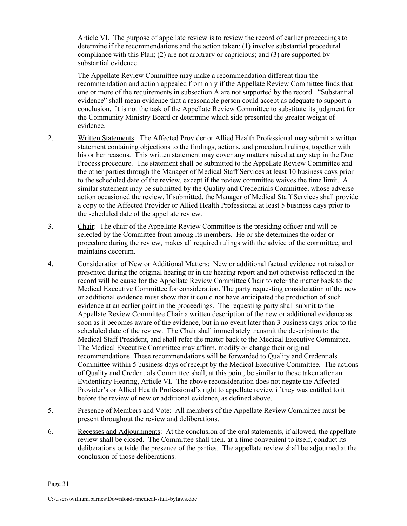Article VI. The purpose of appellate review is to review the record of earlier proceedings to determine if the recommendations and the action taken: (1) involve substantial procedural compliance with this Plan; (2) are not arbitrary or capricious; and (3) are supported by substantial evidence.

The Appellate Review Committee may make a recommendation different than the recommendation and action appealed from only if the Appellate Review Committee finds that one or more of the requirements in subsection A are not supported by the record. "Substantial evidence" shall mean evidence that a reasonable person could accept as adequate to support a conclusion. It is not the task of the Appellate Review Committee to substitute its judgment for the Community Ministry Board or determine which side presented the greater weight of evidence.

- 2. Written Statements: The Affected Provider or Allied Health Professional may submit a written statement containing objections to the findings, actions, and procedural rulings, together with his or her reasons. This written statement may cover any matters raised at any step in the Due Process procedure. The statement shall be submitted to the Appellate Review Committee and the other parties through the Manager of Medical Staff Services at least 10 business days prior to the scheduled date of the review, except if the review committee waives the time limit. A similar statement may be submitted by the Quality and Credentials Committee, whose adverse action occasioned the review. If submitted, the Manager of Medical Staff Services shall provide a copy to the Affected Provider or Allied Health Professional at least 5 business days prior to the scheduled date of the appellate review.
- 3. Chair: The chair of the Appellate Review Committee is the presiding officer and will be selected by the Committee from among its members. He or she determines the order or procedure during the review, makes all required rulings with the advice of the committee, and maintains decorum.
- 4. Consideration of New or Additional Matters: New or additional factual evidence not raised or presented during the original hearing or in the hearing report and not otherwise reflected in the record will be cause for the Appellate Review Committee Chair to refer the matter back to the Medical Executive Committee for consideration. The party requesting consideration of the new or additional evidence must show that it could not have anticipated the production of such evidence at an earlier point in the proceedings. The requesting party shall submit to the Appellate Review Committee Chair a written description of the new or additional evidence as soon as it becomes aware of the evidence, but in no event later than 3 business days prior to the scheduled date of the review. The Chair shall immediately transmit the description to the Medical Staff President, and shall refer the matter back to the Medical Executive Committee. The Medical Executive Committee may affirm, modify or change their original recommendations. These recommendations will be forwarded to Quality and Credentials Committee within 5 business days of receipt by the Medical Executive Committee. The actions of Quality and Credentials Committee shall, at this point, be similar to those taken after an Evidentiary Hearing, Article VI. The above reconsideration does not negate the Affected Provider's or Allied Health Professional's right to appellate review if they was entitled to it before the review of new or additional evidence, as defined above.
- 5. Presence of Members and Vote: All members of the Appellate Review Committee must be present throughout the review and deliberations.
- 6. Recesses and Adjournments: At the conclusion of the oral statements, if allowed, the appellate review shall be closed. The Committee shall then, at a time convenient to itself, conduct its deliberations outside the presence of the parties. The appellate review shall be adjourned at the conclusion of those deliberations.